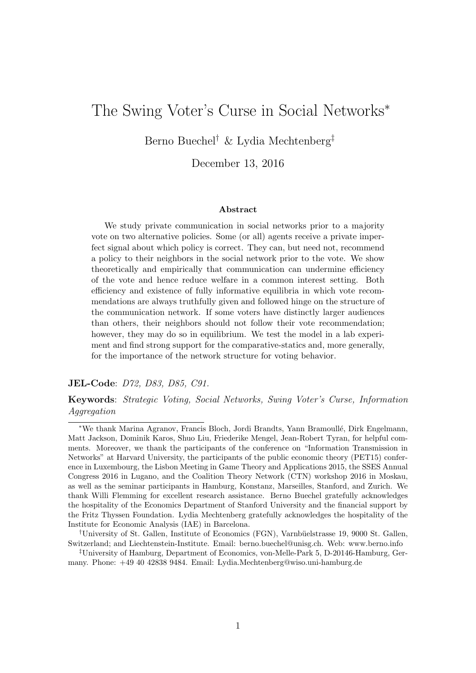# The Swing Voter's Curse in Social Networks<sup>∗</sup>

Berno Buechel† & Lydia Mechtenberg‡

December 13, 2016

#### Abstract

We study private communication in social networks prior to a majority vote on two alternative policies. Some (or all) agents receive a private imperfect signal about which policy is correct. They can, but need not, recommend a policy to their neighbors in the social network prior to the vote. We show theoretically and empirically that communication can undermine efficiency of the vote and hence reduce welfare in a common interest setting. Both efficiency and existence of fully informative equilibria in which vote recommendations are always truthfully given and followed hinge on the structure of the communication network. If some voters have distinctly larger audiences than others, their neighbors should not follow their vote recommendation; however, they may do so in equilibrium. We test the model in a lab experiment and find strong support for the comparative-statics and, more generally, for the importance of the network structure for voting behavior.

#### JEL-Code: D72, D83, D85, C91.

Keywords: Strategic Voting, Social Networks, Swing Voter's Curse, Information Aggregation

‡University of Hamburg, Department of Economics, von-Melle-Park 5, D-20146-Hamburg, Germany. Phone: +49 40 42838 9484. Email: Lydia.Mechtenberg@wiso.uni-hamburg.de

<sup>∗</sup>We thank Marina Agranov, Francis Bloch, Jordi Brandts, Yann Bramoull´e, Dirk Engelmann, Matt Jackson, Dominik Karos, Shuo Liu, Friederike Mengel, Jean-Robert Tyran, for helpful comments. Moreover, we thank the participants of the conference on "Information Transmission in Networks" at Harvard University, the participants of the public economic theory (PET15) conference in Luxembourg, the Lisbon Meeting in Game Theory and Applications 2015, the SSES Annual Congress 2016 in Lugano, and the Coalition Theory Network (CTN) workshop 2016 in Moskau, as well as the seminar participants in Hamburg, Konstanz, Marseilles, Stanford, and Zurich. We thank Willi Flemming for excellent research assistance. Berno Buechel gratefully acknowledges the hospitality of the Economics Department of Stanford University and the financial support by the Fritz Thyssen Foundation. Lydia Mechtenberg gratefully acknowledges the hospitality of the Institute for Economic Analysis (IAE) in Barcelona.

<sup>†</sup>University of St. Gallen, Institute of Economics (FGN), Varnb¨uelstrasse 19, 9000 St. Gallen, Switzerland; and Liechtenstein-Institute. Email: berno.buechel@unisg.ch. Web: www.berno.info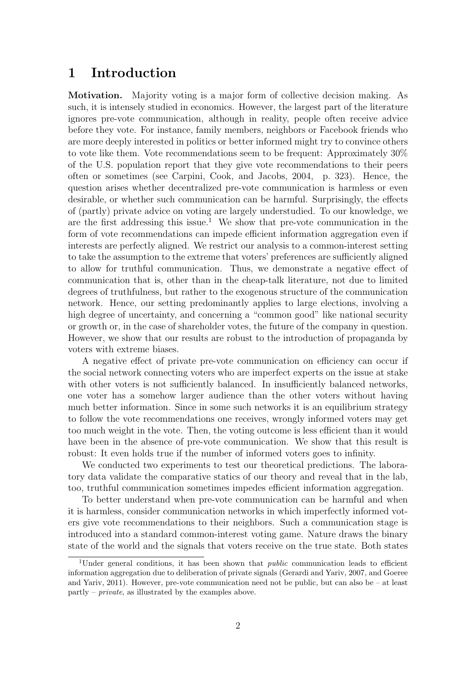# 1 Introduction

Motivation. Majority voting is a major form of collective decision making. As such, it is intensely studied in economics. However, the largest part of the literature ignores pre-vote communication, although in reality, people often receive advice before they vote. For instance, family members, neighbors or Facebook friends who are more deeply interested in politics or better informed might try to convince others to vote like them. Vote recommendations seem to be frequent: Approximately 30% of the U.S. population report that they give vote recommendations to their peers often or sometimes (see Carpini, Cook, and Jacobs, 2004, p. 323). Hence, the question arises whether decentralized pre-vote communication is harmless or even desirable, or whether such communication can be harmful. Surprisingly, the effects of (partly) private advice on voting are largely understudied. To our knowledge, we are the first addressing this issue.<sup>1</sup> We show that pre-vote communication in the form of vote recommendations can impede efficient information aggregation even if interests are perfectly aligned. We restrict our analysis to a common-interest setting to take the assumption to the extreme that voters' preferences are sufficiently aligned to allow for truthful communication. Thus, we demonstrate a negative effect of communication that is, other than in the cheap-talk literature, not due to limited degrees of truthfulness, but rather to the exogenous structure of the communication network. Hence, our setting predominantly applies to large elections, involving a high degree of uncertainty, and concerning a "common good" like national security or growth or, in the case of shareholder votes, the future of the company in question. However, we show that our results are robust to the introduction of propaganda by voters with extreme biases.

A negative effect of private pre-vote communication on efficiency can occur if the social network connecting voters who are imperfect experts on the issue at stake with other voters is not sufficiently balanced. In insufficiently balanced networks, one voter has a somehow larger audience than the other voters without having much better information. Since in some such networks it is an equilibrium strategy to follow the vote recommendations one receives, wrongly informed voters may get too much weight in the vote. Then, the voting outcome is less efficient than it would have been in the absence of pre-vote communication. We show that this result is robust: It even holds true if the number of informed voters goes to infinity.

We conducted two experiments to test our theoretical predictions. The laboratory data validate the comparative statics of our theory and reveal that in the lab, too, truthful communication sometimes impedes efficient information aggregation.

To better understand when pre-vote communication can be harmful and when it is harmless, consider communication networks in which imperfectly informed voters give vote recommendations to their neighbors. Such a communication stage is introduced into a standard common-interest voting game. Nature draws the binary state of the world and the signals that voters receive on the true state. Both states

<sup>&</sup>lt;sup>1</sup>Under general conditions, it has been shown that *public* communication leads to efficient information aggregation due to deliberation of private signals (Gerardi and Yariv, 2007, and Goeree and Yariv,  $2011$ ). However, pre-vote communication need not be public, but can also be – at least  $partlv$  – *private*, as illustrated by the examples above.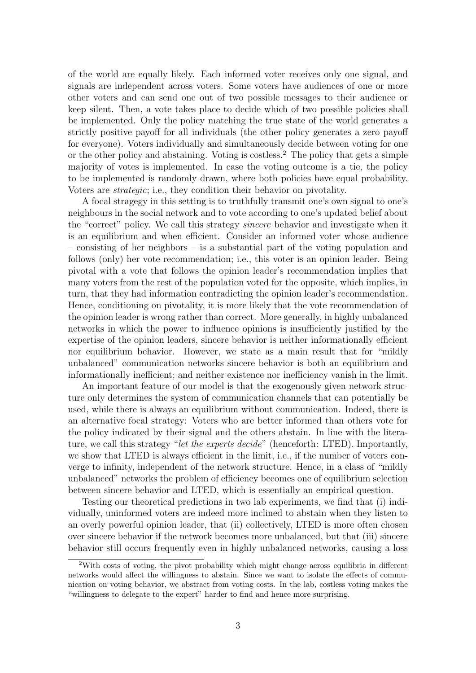of the world are equally likely. Each informed voter receives only one signal, and signals are independent across voters. Some voters have audiences of one or more other voters and can send one out of two possible messages to their audience or keep silent. Then, a vote takes place to decide which of two possible policies shall be implemented. Only the policy matching the true state of the world generates a strictly positive payoff for all individuals (the other policy generates a zero payoff for everyone). Voters individually and simultaneously decide between voting for one or the other policy and abstaining. Voting is costless.<sup>2</sup> The policy that gets a simple majority of votes is implemented. In case the voting outcome is a tie, the policy to be implemented is randomly drawn, where both policies have equal probability. Voters are strategic; i.e., they condition their behavior on pivotality.

A focal stragegy in this setting is to truthfully transmit one's own signal to one's neighbours in the social network and to vote according to one's updated belief about the "correct" policy. We call this strategy sincere behavior and investigate when it is an equilibrium and when efficient. Consider an informed voter whose audience – consisting of her neighbors – is a substantial part of the voting population and follows (only) her vote recommendation; i.e., this voter is an opinion leader. Being pivotal with a vote that follows the opinion leader's recommendation implies that many voters from the rest of the population voted for the opposite, which implies, in turn, that they had information contradicting the opinion leader's recommendation. Hence, conditioning on pivotality, it is more likely that the vote recommendation of the opinion leader is wrong rather than correct. More generally, in highly unbalanced networks in which the power to influence opinions is insufficiently justified by the expertise of the opinion leaders, sincere behavior is neither informationally efficient nor equilibrium behavior. However, we state as a main result that for "mildly unbalanced" communication networks sincere behavior is both an equilibrium and informationally inefficient; and neither existence nor inefficiency vanish in the limit.

An important feature of our model is that the exogenously given network structure only determines the system of communication channels that can potentially be used, while there is always an equilibrium without communication. Indeed, there is an alternative focal strategy: Voters who are better informed than others vote for the policy indicated by their signal and the others abstain. In line with the literature, we call this strategy "let the experts decide" (henceforth: LTED). Importantly, we show that LTED is always efficient in the limit, i.e., if the number of voters converge to infinity, independent of the network structure. Hence, in a class of "mildly unbalanced" networks the problem of efficiency becomes one of equilibrium selection between sincere behavior and LTED, which is essentially an empirical question.

Testing our theoretical predictions in two lab experiments, we find that (i) individually, uninformed voters are indeed more inclined to abstain when they listen to an overly powerful opinion leader, that (ii) collectively, LTED is more often chosen over sincere behavior if the network becomes more unbalanced, but that (iii) sincere behavior still occurs frequently even in highly unbalanced networks, causing a loss

<sup>2</sup>With costs of voting, the pivot probability which might change across equilibria in different networks would affect the willingness to abstain. Since we want to isolate the effects of communication on voting behavior, we abstract from voting costs. In the lab, costless voting makes the "willingness to delegate to the expert" harder to find and hence more surprising.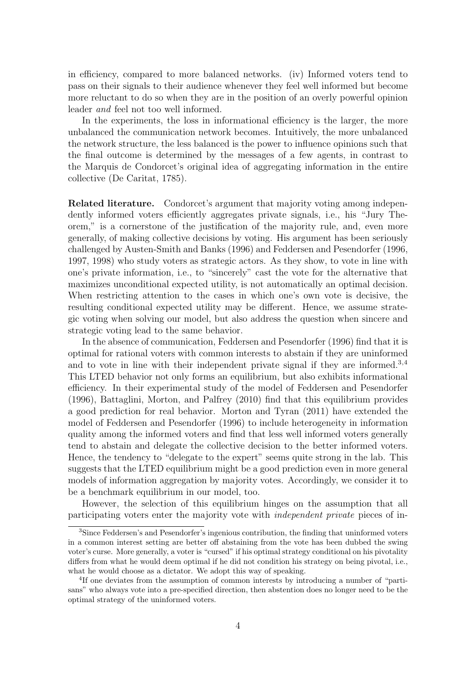in efficiency, compared to more balanced networks. (iv) Informed voters tend to pass on their signals to their audience whenever they feel well informed but become more reluctant to do so when they are in the position of an overly powerful opinion leader and feel not too well informed.

In the experiments, the loss in informational efficiency is the larger, the more unbalanced the communication network becomes. Intuitively, the more unbalanced the network structure, the less balanced is the power to influence opinions such that the final outcome is determined by the messages of a few agents, in contrast to the Marquis de Condorcet's original idea of aggregating information in the entire collective (De Caritat, 1785).

Related literature. Condorcet's argument that majority voting among independently informed voters efficiently aggregates private signals, i.e., his "Jury Theorem," is a cornerstone of the justification of the majority rule, and, even more generally, of making collective decisions by voting. His argument has been seriously challenged by Austen-Smith and Banks (1996) and Feddersen and Pesendorfer (1996, 1997, 1998) who study voters as strategic actors. As they show, to vote in line with one's private information, i.e., to "sincerely" cast the vote for the alternative that maximizes unconditional expected utility, is not automatically an optimal decision. When restricting attention to the cases in which one's own vote is decisive, the resulting conditional expected utility may be different. Hence, we assume strategic voting when solving our model, but also address the question when sincere and strategic voting lead to the same behavior.

In the absence of communication, Feddersen and Pesendorfer (1996) find that it is optimal for rational voters with common interests to abstain if they are uninformed and to vote in line with their independent private signal if they are informed.<sup>3,4</sup> This LTED behavior not only forms an equilibrium, but also exhibits informational efficiency. In their experimental study of the model of Feddersen and Pesendorfer (1996), Battaglini, Morton, and Palfrey (2010) find that this equilibrium provides a good prediction for real behavior. Morton and Tyran (2011) have extended the model of Feddersen and Pesendorfer (1996) to include heterogeneity in information quality among the informed voters and find that less well informed voters generally tend to abstain and delegate the collective decision to the better informed voters. Hence, the tendency to "delegate to the expert" seems quite strong in the lab. This suggests that the LTED equilibrium might be a good prediction even in more general models of information aggregation by majority votes. Accordingly, we consider it to be a benchmark equilibrium in our model, too.

However, the selection of this equilibrium hinges on the assumption that all participating voters enter the majority vote with independent private pieces of in-

<sup>&</sup>lt;sup>3</sup>Since Feddersen's and Pesendorfer's ingenious contribution, the finding that uninformed voters in a common interest setting are better off abstaining from the vote has been dubbed the swing voter's curse. More generally, a voter is "cursed" if his optimal strategy conditional on his pivotality differs from what he would deem optimal if he did not condition his strategy on being pivotal, i.e., what he would choose as a dictator. We adopt this way of speaking.

<sup>&</sup>lt;sup>4</sup>If one deviates from the assumption of common interests by introducing a number of "partisans" who always vote into a pre-specified direction, then abstention does no longer need to be the optimal strategy of the uninformed voters.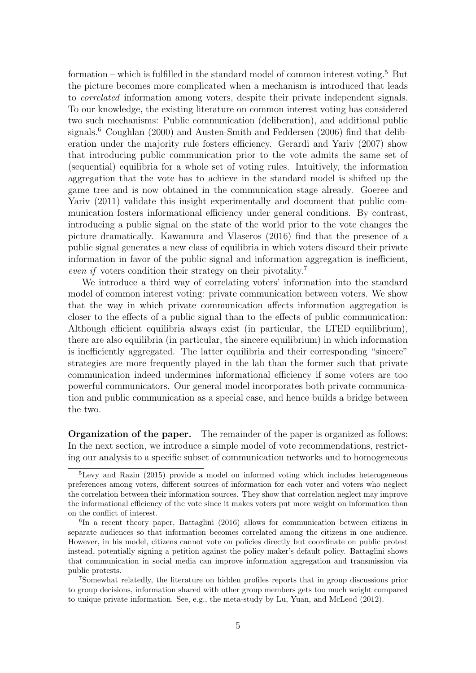formation – which is fulfilled in the standard model of common interest voting.<sup>5</sup> But the picture becomes more complicated when a mechanism is introduced that leads to *correlated* information among voters, despite their private independent signals. To our knowledge, the existing literature on common interest voting has considered two such mechanisms: Public communication (deliberation), and additional public signals.<sup>6</sup> Coughlan (2000) and Austen-Smith and Feddersen (2006) find that deliberation under the majority rule fosters efficiency. Gerardi and Yariv (2007) show that introducing public communication prior to the vote admits the same set of (sequential) equilibria for a whole set of voting rules. Intuitively, the information aggregation that the vote has to achieve in the standard model is shifted up the game tree and is now obtained in the communication stage already. Goeree and Yariv (2011) validate this insight experimentally and document that public communication fosters informational efficiency under general conditions. By contrast, introducing a public signal on the state of the world prior to the vote changes the picture dramatically. Kawamura and Vlaseros (2016) find that the presence of a public signal generates a new class of equilibria in which voters discard their private information in favor of the public signal and information aggregation is inefficient, even if voters condition their strategy on their pivotality.<sup>7</sup>

We introduce a third way of correlating voters' information into the standard model of common interest voting: private communication between voters. We show that the way in which private communication affects information aggregation is closer to the effects of a public signal than to the effects of public communication: Although efficient equilibria always exist (in particular, the LTED equilibrium), there are also equilibria (in particular, the sincere equilibrium) in which information is inefficiently aggregated. The latter equilibria and their corresponding "sincere" strategies are more frequently played in the lab than the former such that private communication indeed undermines informational efficiency if some voters are too powerful communicators. Our general model incorporates both private communication and public communication as a special case, and hence builds a bridge between the two.

Organization of the paper. The remainder of the paper is organized as follows: In the next section, we introduce a simple model of vote recommendations, restricting our analysis to a specific subset of communication networks and to homogeneous

<sup>5</sup>Levy and Razin (2015) provide a model on informed voting which includes heterogeneous preferences among voters, different sources of information for each voter and voters who neglect the correlation between their information sources. They show that correlation neglect may improve the informational efficiency of the vote since it makes voters put more weight on information than on the conflict of interest.

<sup>6</sup> In a recent theory paper, Battaglini (2016) allows for communication between citizens in separate audiences so that information becomes correlated among the citizens in one audience. However, in his model, citizens cannot vote on policies directly but coordinate on public protest instead, potentially signing a petition against the policy maker's default policy. Battaglini shows that communication in social media can improve information aggregation and transmission via public protests.

<sup>7</sup>Somewhat relatedly, the literature on hidden profiles reports that in group discussions prior to group decisions, information shared with other group members gets too much weight compared to unique private information. See, e.g., the meta-study by Lu, Yuan, and McLeod (2012).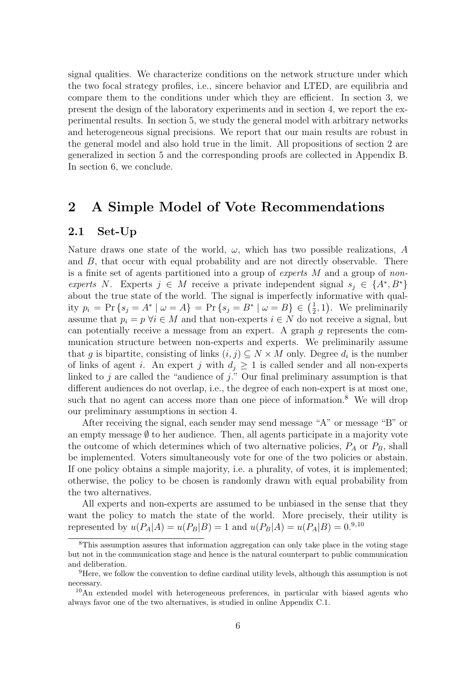signal qualities. We characterize conditions on the network structure under which the two focal strategy profiles, i.e., sincere behavior and LTED, are equilibria and compare them to the conditions under which they are efficient. In section 3, we present the design of the laboratory experiments and in section 4, we report the experimental results. In section 5, we study the general model with arbitrary networks and heterogeneous signal precisions. We report that our main results are robust in the general model and also hold true in the limit. All propositions of section 2 are generalized in section 5 and the corresponding proofs are collected in Appendix B. In section 6, we conclude.

# 2 A Simple Model of Vote Recommendations

#### 2.1 Set-Up

Nature draws one state of the world,  $\omega$ , which has two possible realizations, A and B, that occur with equal probability and are not directly observable. There is a finite set of agents partitioned into a group of experts  $M$  and a group of nonexperts N. Experts  $j \in M$  receive a private independent signal  $s_j \in \{A^*, B^*\}$ about the true state of the world. The signal is imperfectly informative with quality  $p_i = \Pr\{s_j = A^* | \omega = A\} = \Pr\{s_j = B^* | \omega = B\} \in \left(\frac{1}{2}\right)$  $(\frac{1}{2}, 1)$ . We preliminarily assume that  $p_i = p \,\forall i \in M$  and that non-experts  $i \in N$  do not receive a signal, but can potentially receive a message from an expert. A graph g represents the communication structure between non-experts and experts. We preliminarily assume that g is bipartite, consisting of links  $(i, j) \subseteq N \times M$  only. Degree  $d_i$  is the number of links of agent i. An expert j with  $d_i \geq 1$  is called sender and all non-experts linked to  $j$  are called the "audience of  $j$ ." Our final preliminary assumption is that different audiences do not overlap, i.e., the degree of each non-expert is at most one, such that no agent can access more than one piece of information.<sup>8</sup> We will drop our preliminary assumptions in section 4.

After receiving the signal, each sender may send message "A" or message "B" or an empty message  $\emptyset$  to her audience. Then, all agents participate in a majority vote the outcome of which determines which of two alternative policies,  $P_A$  or  $P_B$ , shall be implemented. Voters simultaneously vote for one of the two policies or abstain. If one policy obtains a simple majority, i.e. a plurality, of votes, it is implemented; otherwise, the policy to be chosen is randomly drawn with equal probability from the two alternatives.

All experts and non-experts are assumed to be unbiased in the sense that they want the policy to match the state of the world. More precisely, their utility is represented by  $u(P_A|A) = u(P_B|B) = 1$  and  $u(P_B|A) = u(P_A|B) = 0.9$ , 10

<sup>&</sup>lt;sup>8</sup>This assumption assures that information aggregation can only take place in the voting stage but not in the communication stage and hence is the natural counterpart to public communication and deliberation.

<sup>9</sup>Here, we follow the convention to define cardinal utility levels, although this assumption is not necessary.

<sup>10</sup>An extended model with heterogeneous preferences, in particular with biased agents who always favor one of the two alternatives, is studied in online Appendix C.1.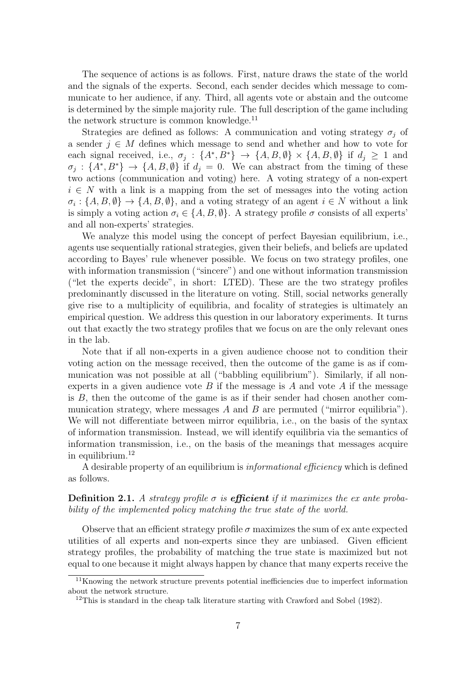The sequence of actions is as follows. First, nature draws the state of the world and the signals of the experts. Second, each sender decides which message to communicate to her audience, if any. Third, all agents vote or abstain and the outcome is determined by the simple majority rule. The full description of the game including the network structure is common knowledge.<sup>11</sup>

Strategies are defined as follows: A communication and voting strategy  $\sigma_j$  of a sender  $j \in M$  defines which message to send and whether and how to vote for each signal received, i.e.,  $\sigma_j$ :  $\{A^*, B^*\} \rightarrow \{A, B, \emptyset\} \times \{A, B, \emptyset\}$  if  $d_j \geq 1$  and  $\sigma_j : \{A^*, B^*\} \to \{A, B, \emptyset\}$  if  $d_j = 0$ . We can abstract from the timing of these two actions (communication and voting) here. A voting strategy of a non-expert  $i \in N$  with a link is a mapping from the set of messages into the voting action  $\sigma_i: \{A, B, \emptyset\} \to \{A, B, \emptyset\}$ , and a voting strategy of an agent  $i \in N$  without a link is simply a voting action  $\sigma_i \in \{A, B, \emptyset\}$ . A strategy profile  $\sigma$  consists of all experts' and all non-experts' strategies.

We analyze this model using the concept of perfect Bayesian equilibrium, i.e., agents use sequentially rational strategies, given their beliefs, and beliefs are updated according to Bayes' rule whenever possible. We focus on two strategy profiles, one with information transmission ("sincere") and one without information transmission ("let the experts decide", in short: LTED). These are the two strategy profiles predominantly discussed in the literature on voting. Still, social networks generally give rise to a multiplicity of equilibria, and focality of strategies is ultimately an empirical question. We address this question in our laboratory experiments. It turns out that exactly the two strategy profiles that we focus on are the only relevant ones in the lab.

Note that if all non-experts in a given audience choose not to condition their voting action on the message received, then the outcome of the game is as if communication was not possible at all ("babbling equilibrium"). Similarly, if all nonexperts in a given audience vote B if the message is A and vote A if the message is  $B$ , then the outcome of the game is as if their sender had chosen another communication strategy, where messages A and B are permuted ("mirror equilibria"). We will not differentiate between mirror equilibria, i.e., on the basis of the syntax of information transmission. Instead, we will identify equilibria via the semantics of information transmission, i.e., on the basis of the meanings that messages acquire in equilibrium.<sup>12</sup>

A desirable property of an equilibrium is informational efficiency which is defined as follows.

**Definition 2.1.** A strategy profile  $\sigma$  is **efficient** if it maximizes the ex ante probability of the implemented policy matching the true state of the world.

Observe that an efficient strategy profile  $\sigma$  maximizes the sum of ex ante expected utilities of all experts and non-experts since they are unbiased. Given efficient strategy profiles, the probability of matching the true state is maximized but not equal to one because it might always happen by chance that many experts receive the

<sup>11</sup>Knowing the network structure prevents potential inefficiencies due to imperfect information about the network structure.

<sup>&</sup>lt;sup>12</sup>This is standard in the cheap talk literature starting with Crawford and Sobel  $(1982)$ .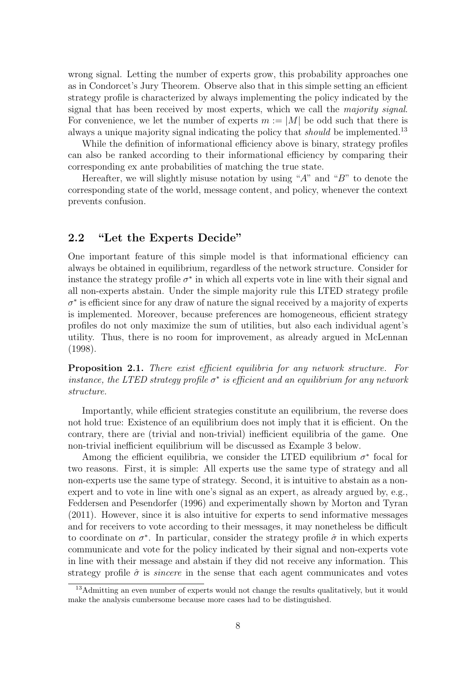wrong signal. Letting the number of experts grow, this probability approaches one as in Condorcet's Jury Theorem. Observe also that in this simple setting an efficient strategy profile is characterized by always implementing the policy indicated by the signal that has been received by most experts, which we call the *majority signal*. For convenience, we let the number of experts  $m := |M|$  be odd such that there is always a unique majority signal indicating the policy that *should* be implemented.<sup>13</sup>

While the definition of informational efficiency above is binary, strategy profiles can also be ranked according to their informational efficiency by comparing their corresponding ex ante probabilities of matching the true state.

Hereafter, we will slightly misuse notation by using " $A$ " and " $B$ " to denote the corresponding state of the world, message content, and policy, whenever the context prevents confusion.

### 2.2 "Let the Experts Decide"

One important feature of this simple model is that informational efficiency can always be obtained in equilibrium, regardless of the network structure. Consider for instance the strategy profile  $\sigma^*$  in which all experts vote in line with their signal and all non-experts abstain. Under the simple majority rule this LTED strategy profile  $\sigma^*$  is efficient since for any draw of nature the signal received by a majority of experts is implemented. Moreover, because preferences are homogeneous, efficient strategy profiles do not only maximize the sum of utilities, but also each individual agent's utility. Thus, there is no room for improvement, as already argued in McLennan (1998).

**Proposition 2.1.** There exist efficient equilibria for any network structure. For instance, the LTED strategy profile  $\sigma^*$  is efficient and an equilibrium for any network structure.

Importantly, while efficient strategies constitute an equilibrium, the reverse does not hold true: Existence of an equilibrium does not imply that it is efficient. On the contrary, there are (trivial and non-trivial) inefficient equilibria of the game. One non-trivial inefficient equilibrium will be discussed as Example 3 below.

Among the efficient equilibria, we consider the LTED equilibrium  $\sigma^*$  focal for two reasons. First, it is simple: All experts use the same type of strategy and all non-experts use the same type of strategy. Second, it is intuitive to abstain as a nonexpert and to vote in line with one's signal as an expert, as already argued by, e.g., Feddersen and Pesendorfer (1996) and experimentally shown by Morton and Tyran (2011). However, since it is also intuitive for experts to send informative messages and for receivers to vote according to their messages, it may nonetheless be difficult to coordinate on  $\sigma^*$ . In particular, consider the strategy profile  $\hat{\sigma}$  in which experts communicate and vote for the policy indicated by their signal and non-experts vote in line with their message and abstain if they did not receive any information. This strategy profile  $\hat{\sigma}$  is *sincere* in the sense that each agent communicates and votes

<sup>&</sup>lt;sup>13</sup>Admitting an even number of experts would not change the results qualitatively, but it would make the analysis cumbersome because more cases had to be distinguished.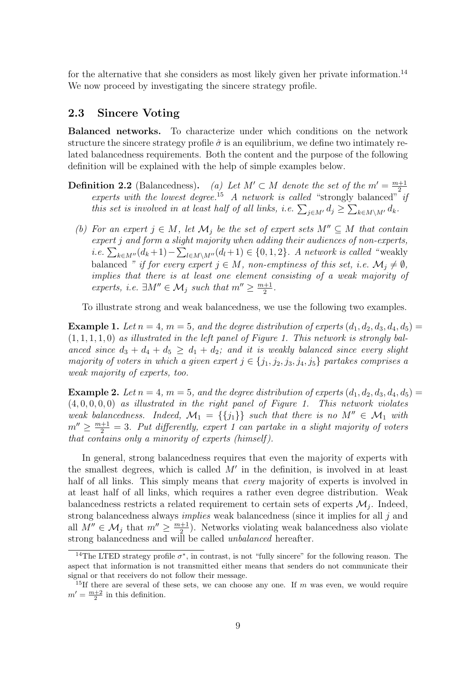for the alternative that she considers as most likely given her private information.<sup>14</sup> We now proceed by investigating the sincere strategy profile.

### 2.3 Sincere Voting

Balanced networks. To characterize under which conditions on the network structure the sincere strategy profile  $\hat{\sigma}$  is an equilibrium, we define two intimately related balancedness requirements. Both the content and the purpose of the following definition will be explained with the help of simple examples below.

- **Definition 2.2** (Balancedness). (a) Let  $M' \subset M$  denote the set of the  $m' = \frac{m+1}{2}$ 2 experts with the lowest degree.<sup>15</sup> A network is called "strongly balanced" if this set is involved in at least half of all links, i.e.  $\sum_{j \in M'} d_j \ge \sum_{k \in M\setminus M'} d_k$ .
	- (b) For an expert  $j \in M$ , let  $\mathcal{M}_j$  be the set of expert sets  $M'' \subseteq M$  that contain expert j and form a slight majority when adding their audiences of non-experts, *i.e.*  $\sum_{k \in M''}(d_k+1) - \sum_{l \in M\setminus M''}(d_l+1) \in \{0,1,2\}$ . A network is called "weakly balanced " if for every expert  $j \in M$ , non-emptiness of this set, i.e.  $\mathcal{M}_j \neq \emptyset$ , implies that there is at least one element consisting of a weak majority of experts, i.e.  $\exists M'' \in \mathcal{M}_j$  such that  $m'' \geq \frac{m+1}{2}$  $\frac{+1}{2}$ .

To illustrate strong and weak balancedness, we use the following two examples.

**Example 1.** Let  $n = 4$ ,  $m = 5$ , and the degree distribution of experts  $(d_1, d_2, d_3, d_4, d_5)$  $(1, 1, 1, 1, 0)$  as illustrated in the left panel of Figure 1. This network is strongly balanced since  $d_3 + d_4 + d_5 \geq d_1 + d_2$ ; and it is weakly balanced since every slight majority of voters in which a given expert  $j \in \{j_1, j_2, j_3, j_4, j_5\}$  partakes comprises a weak majority of experts, too.

**Example 2.** Let  $n = 4$ ,  $m = 5$ , and the degree distribution of experts  $(d_1, d_2, d_3, d_4, d_5)$  $(4, 0, 0, 0, 0)$  as illustrated in the right panel of Figure 1. This network violates weak balancedness. Indeed,  $\mathcal{M}_1 = \{\{j_1\}\}\$  such that there is no  $M'' \in \mathcal{M}_1$  with  $m'' \geq \frac{m+1}{2} = 3$ . Put differently, expert 1 can partake in a slight majority of voters that contains only a minority of experts (himself).

In general, strong balancedness requires that even the majority of experts with the smallest degrees, which is called  $M'$  in the definition, is involved in at least half of all links. This simply means that *every* majority of experts is involved in at least half of all links, which requires a rather even degree distribution. Weak balancedness restricts a related requirement to certain sets of experts  $\mathcal{M}_j$ . Indeed, strong balancedness always *implies* weak balancedness (since it implies for all j and all  $M'' \in \mathcal{M}_j$  that  $m'' \geq \frac{m+1}{2}$  $\frac{+1}{2}$ ). Networks violating weak balancedness also violate strong balancedness and will be called *unbalanced* hereafter.

<sup>&</sup>lt;sup>14</sup>The LTED strategy profile  $\sigma^*$ , in contrast, is not "fully sincere" for the following reason. The aspect that information is not transmitted either means that senders do not communicate their signal or that receivers do not follow their message.

<sup>&</sup>lt;sup>15</sup>If there are several of these sets, we can choose any one. If m was even, we would require  $m' = \frac{m+2}{2}$  in this definition.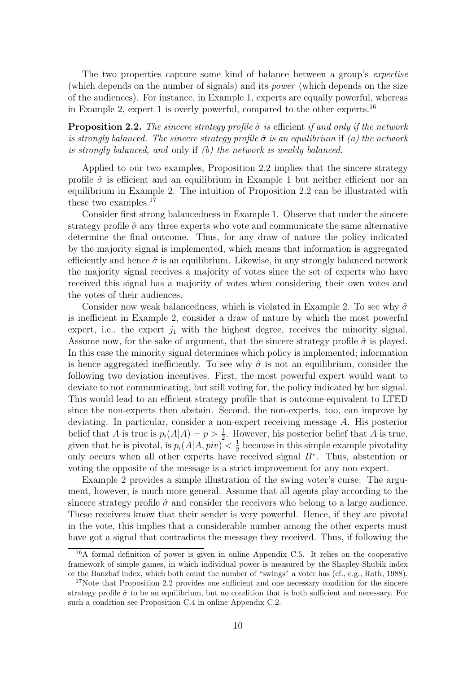The two properties capture some kind of balance between a group's expertise (which depends on the number of signals) and its power (which depends on the size of the audiences). For instance, in Example 1, experts are equally powerful, whereas in Example 2, expert 1 is overly powerful, compared to the other experts.<sup>16</sup>

**Proposition 2.2.** The sincere strategy profile  $\hat{\sigma}$  is efficient if and only if the network is strongly balanced. The sincere strategy profile  $\hat{\sigma}$  is an equilibrium if (a) the network is strongly balanced, and only if (b) the network is weakly balanced.

Applied to our two examples, Proposition 2.2 implies that the sincere strategy profile  $\hat{\sigma}$  is efficient and an equilibrium in Example 1 but neither efficient nor an equilibrium in Example 2. The intuition of Proposition 2.2 can be illustrated with these two examples.<sup>17</sup>

Consider first strong balancedness in Example 1. Observe that under the sincere strategy profile  $\hat{\sigma}$  any three experts who vote and communicate the same alternative determine the final outcome. Thus, for any draw of nature the policy indicated by the majority signal is implemented, which means that information is aggregated efficiently and hence  $\hat{\sigma}$  is an equilibrium. Likewise, in any strongly balanced network the majority signal receives a majority of votes since the set of experts who have received this signal has a majority of votes when considering their own votes and the votes of their audiences.

Consider now weak balancedness, which is violated in Example 2. To see why  $\hat{\sigma}$ is inefficient in Example 2, consider a draw of nature by which the most powerful expert, i.e., the expert  $j_1$  with the highest degree, receives the minority signal. Assume now, for the sake of argument, that the sincere strategy profile  $\hat{\sigma}$  is played. In this case the minority signal determines which policy is implemented; information is hence aggregated inefficiently. To see why  $\hat{\sigma}$  is not an equilibrium, consider the following two deviation incentives. First, the most powerful expert would want to deviate to not communicating, but still voting for, the policy indicated by her signal. This would lead to an efficient strategy profile that is outcome-equivalent to LTED since the non-experts then abstain. Second, the non-experts, too, can improve by deviating. In particular, consider a non-expert receiving message A. His posterior belief that A is true is  $p_i(A|A) = p > \frac{1}{2}$ . However, his posterior belief that A is true, given that he is pivotal, is  $p_i(A|A, piv) < \frac{1}{2}$  $\frac{1}{2}$  because in this simple example pivotality only occurs when all other experts have received signal B<sup>∗</sup> . Thus, abstention or voting the opposite of the message is a strict improvement for any non-expert.

Example 2 provides a simple illustration of the swing voter's curse. The argument, however, is much more general. Assume that all agents play according to the sincere strategy profile  $\hat{\sigma}$  and consider the receivers who belong to a large audience. These receivers know that their sender is very powerful. Hence, if they are pivotal in the vote, this implies that a considerable number among the other experts must have got a signal that contradicts the message they received. Thus, if following the

<sup>16</sup>A formal definition of power is given in online Appendix C.5. It relies on the cooperative framework of simple games, in which individual power is measured by the Shapley-Shubik index or the Banzhaf index, which both count the number of "swings" a voter has (cf., e.g., Roth, 1988).

<sup>&</sup>lt;sup>17</sup>Note that Proposition 2.2 provides one sufficient and one necessary condition for the sincere strategy profile  $\hat{\sigma}$  to be an equilibrium, but no condition that is both sufficient and necessary. For such a condition see Proposition C.4 in online Appendix C.2.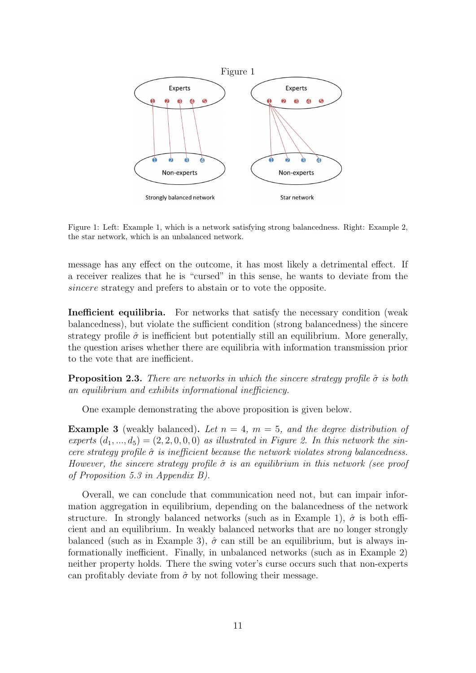

Figure 1: Left: Example 1, which is a network satisfying strong balancedness. Right: Example 2, the star network, which is an unbalanced network.

message has any effect on the outcome, it has most likely a detrimental effect. If a receiver realizes that he is "cursed" in this sense, he wants to deviate from the sincere strategy and prefers to abstain or to vote the opposite.

Inefficient equilibria. For networks that satisfy the necessary condition (weak balancedness), but violate the sufficient condition (strong balancedness) the sincere strategy profile  $\hat{\sigma}$  is inefficient but potentially still an equilibrium. More generally, the question arises whether there are equilibria with information transmission prior to the vote that are inefficient.

**Proposition 2.3.** There are networks in which the sincere strategy profile  $\hat{\sigma}$  is both an equilibrium and exhibits informational inefficiency.

One example demonstrating the above proposition is given below.

**Example 3** (weakly balanced). Let  $n = 4$ ,  $m = 5$ , and the degree distribution of experts  $(d_1, ..., d_5) = (2, 2, 0, 0, 0)$  as illustrated in Figure 2. In this network the sincere strategy profile  $\hat{\sigma}$  is inefficient because the network violates strong balancedness. However, the sincere strategy profile  $\hat{\sigma}$  is an equilibrium in this network (see proof of Proposition 5.3 in Appendix B).

Overall, we can conclude that communication need not, but can impair information aggregation in equilibrium, depending on the balancedness of the network structure. In strongly balanced networks (such as in Example 1),  $\hat{\sigma}$  is both efficient and an equilibrium. In weakly balanced networks that are no longer strongly balanced (such as in Example 3),  $\hat{\sigma}$  can still be an equilibrium, but is always informationally inefficient. Finally, in unbalanced networks (such as in Example 2) neither property holds. There the swing voter's curse occurs such that non-experts can profitably deviate from  $\hat{\sigma}$  by not following their message.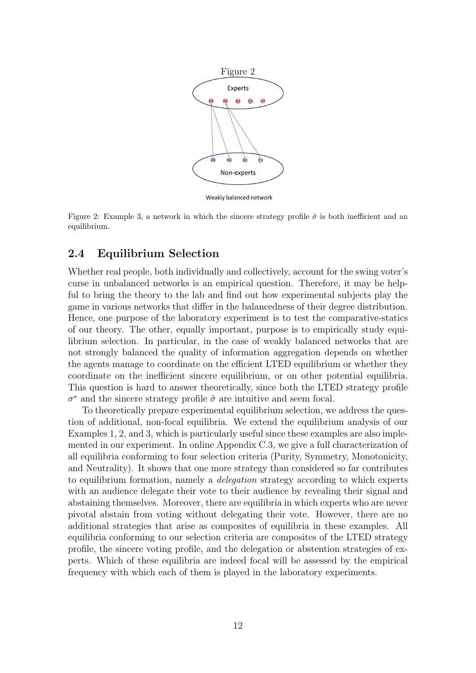

Figure 2: Example 3, a network in which the sincere strategy profile  $\hat{\sigma}$  is both inefficient and an equilibrium.

### 2.4 Equilibrium Selection

Whether real people, both individually and collectively, account for the swing voter's curse in unbalanced networks is an empirical question. Therefore, it may be helpful to bring the theory to the lab and find out how experimental subjects play the game in various networks that differ in the balancedness of their degree distribution. Hence, one purpose of the laboratory experiment is to test the comparative-statics of our theory. The other, equally important, purpose is to empirically study equilibrium selection. In particular, in the case of weakly balanced networks that are not strongly balanced the quality of information aggregation depends on whether the agents manage to coordinate on the efficient LTED equilibrium or whether they coordinate on the inefficient sincere equilibrium, or on other potential equilibria. This question is hard to answer theoretically, since both the LTED strategy profile  $\sigma^*$  and the sincere strategy profile  $\hat{\sigma}$  are intuitive and seem focal.

To theoretically prepare experimental equilibrium selection, we address the question of additional, non-focal equilibria. We extend the equilibrium analysis of our Examples 1, 2, and 3, which is particularly useful since these examples are also implemented in our experiment. In online Appendix C.3, we give a full characterization of all equilibria conforming to four selection criteria (Purity, Symmetry, Monotonicity, and Neutrality). It shows that one more strategy than considered so far contributes to equilibrium formation, namely a *delegation* strategy according to which experts with an audience delegate their vote to their audience by revealing their signal and abstaining themselves. Moreover, there are equilibria in which experts who are never pivotal abstain from voting without delegating their vote. However, there are no additional strategies that arise as composites of equilibria in these examples. All equilibria conforming to our selection criteria are composites of the LTED strategy profile, the sincere voting profile, and the delegation or abstention strategies of experts. Which of these equilibria are indeed focal will be assessed by the empirical frequency with which each of them is played in the laboratory experiments.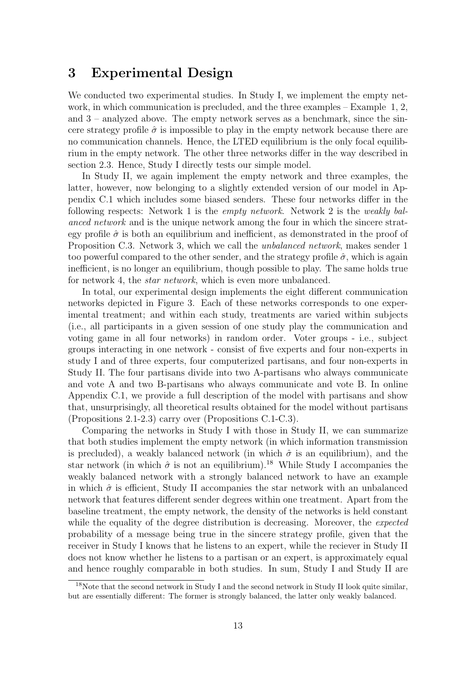### 3 Experimental Design

We conducted two experimental studies. In Study I, we implement the empty network, in which communication is precluded, and the three examples – Example 1, 2, and 3 – analyzed above. The empty network serves as a benchmark, since the sincere strategy profile  $\hat{\sigma}$  is impossible to play in the empty network because there are no communication channels. Hence, the LTED equilibrium is the only focal equilibrium in the empty network. The other three networks differ in the way described in section 2.3. Hence, Study I directly tests our simple model.

In Study II, we again implement the empty network and three examples, the latter, however, now belonging to a slightly extended version of our model in Appendix C.1 which includes some biased senders. These four networks differ in the following respects: Network 1 is the *empty network*. Network 2 is the *weakly bal*anced network and is the unique network among the four in which the sincere strategy profile  $\hat{\sigma}$  is both an equilibrium and inefficient, as demonstrated in the proof of Proposition C.3. Network 3, which we call the unbalanced network, makes sender 1 too powerful compared to the other sender, and the strategy profile  $\hat{\sigma}$ , which is again inefficient, is no longer an equilibrium, though possible to play. The same holds true for network 4, the *star network*, which is even more unbalanced.

In total, our experimental design implements the eight different communication networks depicted in Figure 3. Each of these networks corresponds to one experimental treatment; and within each study, treatments are varied within subjects (i.e., all participants in a given session of one study play the communication and voting game in all four networks) in random order. Voter groups - i.e., subject groups interacting in one network - consist of five experts and four non-experts in study I and of three experts, four computerized partisans, and four non-experts in Study II. The four partisans divide into two A-partisans who always communicate and vote A and two B-partisans who always communicate and vote B. In online Appendix C.1, we provide a full description of the model with partisans and show that, unsurprisingly, all theoretical results obtained for the model without partisans (Propositions 2.1-2.3) carry over (Propositions C.1-C.3).

Comparing the networks in Study I with those in Study II, we can summarize that both studies implement the empty network (in which information transmission is precluded), a weakly balanced network (in which  $\hat{\sigma}$  is an equilibrium), and the star network (in which  $\hat{\sigma}$  is not an equilibrium).<sup>18</sup> While Study I accompanies the weakly balanced network with a strongly balanced network to have an example in which  $\hat{\sigma}$  is efficient, Study II accompanies the star network with an unbalanced network that features different sender degrees within one treatment. Apart from the baseline treatment, the empty network, the density of the networks is held constant while the equality of the degree distribution is decreasing. Moreover, the *expected* probability of a message being true in the sincere strategy profile, given that the receiver in Study I knows that he listens to an expert, while the reciever in Study II does not know whether he listens to a partisan or an expert, is approximately equal and hence roughly comparable in both studies. In sum, Study I and Study II are

<sup>18</sup>Note that the second network in Study I and the second network in Study II look quite similar, but are essentially different: The former is strongly balanced, the latter only weakly balanced.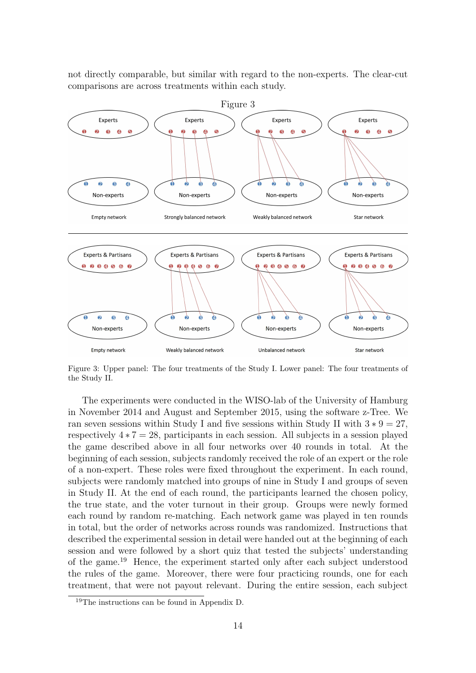not directly comparable, but similar with regard to the non-experts. The clear-cut comparisons are across treatments within each study.



Figure 3: Upper panel: The four treatments of the Study I. Lower panel: The four treatments of the Study II.

The experiments were conducted in the WISO-lab of the University of Hamburg in November 2014 and August and September 2015, using the software z-Tree. We ran seven sessions within Study I and five sessions within Study II with  $3 * 9 = 27$ , respectively  $4 \times 7 = 28$ , participants in each session. All subjects in a session played the game described above in all four networks over 40 rounds in total. At the beginning of each session, subjects randomly received the role of an expert or the role of a non-expert. These roles were fixed throughout the experiment. In each round, subjects were randomly matched into groups of nine in Study I and groups of seven in Study II. At the end of each round, the participants learned the chosen policy, the true state, and the voter turnout in their group. Groups were newly formed each round by random re-matching. Each network game was played in ten rounds in total, but the order of networks across rounds was randomized. Instructions that described the experimental session in detail were handed out at the beginning of each session and were followed by a short quiz that tested the subjects' understanding of the game.<sup>19</sup> Hence, the experiment started only after each subject understood the rules of the game. Moreover, there were four practicing rounds, one for each treatment, that were not payout relevant. During the entire session, each subject

<sup>19</sup>The instructions can be found in Appendix D.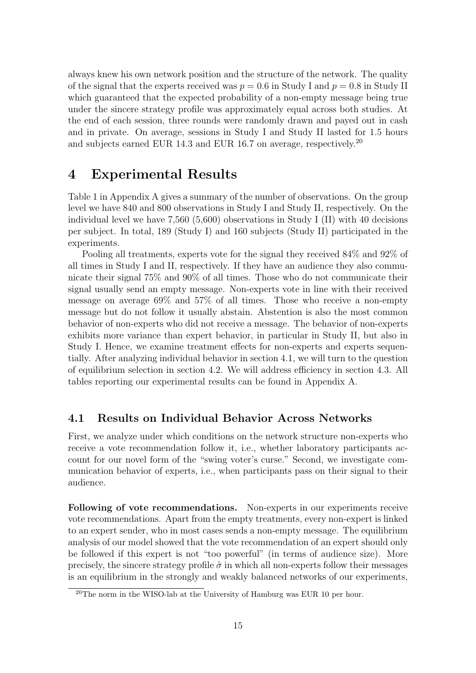always knew his own network position and the structure of the network. The quality of the signal that the experts received was  $p = 0.6$  in Study I and  $p = 0.8$  in Study II which guaranteed that the expected probability of a non-empty message being true under the sincere strategy profile was approximately equal across both studies. At the end of each session, three rounds were randomly drawn and payed out in cash and in private. On average, sessions in Study I and Study II lasted for 1.5 hours and subjects earned EUR 14.3 and EUR 16.7 on average, respectively.<sup>20</sup>

# 4 Experimental Results

Table 1 in Appendix A gives a summary of the number of observations. On the group level we have 840 and 800 observations in Study I and Study II, respectively. On the individual level we have 7,560 (5,600) observations in Study I (II) with 40 decisions per subject. In total, 189 (Study I) and 160 subjects (Study II) participated in the experiments.

Pooling all treatments, experts vote for the signal they received 84% and 92% of all times in Study I and II, respectively. If they have an audience they also communicate their signal 75% and 90% of all times. Those who do not communicate their signal usually send an empty message. Non-experts vote in line with their received message on average 69% and 57% of all times. Those who receive a non-empty message but do not follow it usually abstain. Abstention is also the most common behavior of non-experts who did not receive a message. The behavior of non-experts exhibits more variance than expert behavior, in particular in Study II, but also in Study I. Hence, we examine treatment effects for non-experts and experts sequentially. After analyzing individual behavior in section 4.1, we will turn to the question of equilibrium selection in section 4.2. We will address efficiency in section 4.3. All tables reporting our experimental results can be found in Appendix A.

### 4.1 Results on Individual Behavior Across Networks

First, we analyze under which conditions on the network structure non-experts who receive a vote recommendation follow it, i.e., whether laboratory participants account for our novel form of the "swing voter's curse." Second, we investigate communication behavior of experts, i.e., when participants pass on their signal to their audience.

Following of vote recommendations. Non-experts in our experiments receive vote recommendations. Apart from the empty treatments, every non-expert is linked to an expert sender, who in most cases sends a non-empty message. The equilibrium analysis of our model showed that the vote recommendation of an expert should only be followed if this expert is not "too powerful" (in terms of audience size). More precisely, the sincere strategy profile  $\hat{\sigma}$  in which all non-experts follow their messages is an equilibrium in the strongly and weakly balanced networks of our experiments,

 $^{20}$ The norm in the WISO-lab at the University of Hamburg was EUR 10 per hour.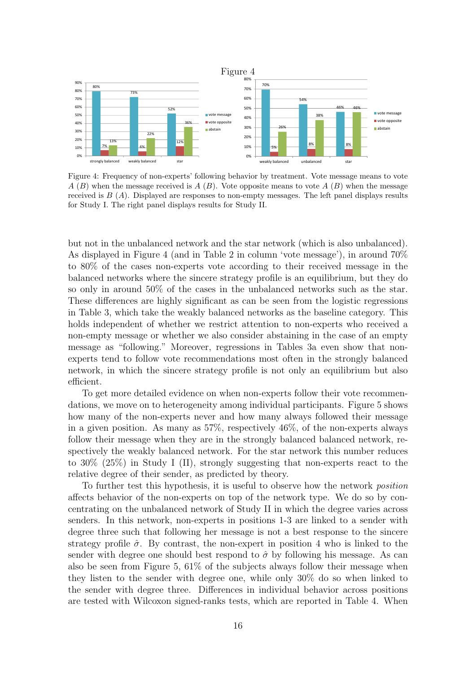

Figure 4: Frequency of non-experts' following behavior by treatment. Vote message means to vote  $A(B)$  when the message received is  $A(B)$ . Vote opposite means to vote  $A(B)$  when the message received is  $B(A)$ . Displayed are responses to non-empty messages. The left panel displays results for Study I. The right panel displays results for Study II.

but not in the unbalanced network and the star network (which is also unbalanced). As displayed in Figure 4 (and in Table 2 in column 'vote message'), in around 70% to 80% of the cases non-experts vote according to their received message in the balanced networks where the sincere strategy profile is an equilibrium, but they do so only in around 50% of the cases in the unbalanced networks such as the star. These differences are highly significant as can be seen from the logistic regressions in Table 3, which take the weakly balanced networks as the baseline category. This holds independent of whether we restrict attention to non-experts who received a non-empty message or whether we also consider abstaining in the case of an empty message as "following." Moreover, regressions in Tables 3a even show that nonexperts tend to follow vote recommendations most often in the strongly balanced network, in which the sincere strategy profile is not only an equilibrium but also efficient.

To get more detailed evidence on when non-experts follow their vote recommendations, we move on to heterogeneity among individual participants. Figure 5 shows how many of the non-experts never and how many always followed their message in a given position. As many as 57%, respectively 46%, of the non-experts always follow their message when they are in the strongly balanced balanced network, respectively the weakly balanced network. For the star network this number reduces to 30% (25%) in Study I (II), strongly suggesting that non-experts react to the relative degree of their sender, as predicted by theory.

To further test this hypothesis, it is useful to observe how the network position affects behavior of the non-experts on top of the network type. We do so by concentrating on the unbalanced network of Study II in which the degree varies across senders. In this network, non-experts in positions 1-3 are linked to a sender with degree three such that following her message is not a best response to the sincere strategy profile  $\hat{\sigma}$ . By contrast, the non-expert in position 4 who is linked to the sender with degree one should best respond to  $\hat{\sigma}$  by following his message. As can also be seen from Figure 5,  $61\%$  of the subjects always follow their message when they listen to the sender with degree one, while only 30% do so when linked to the sender with degree three. Differences in individual behavior across positions are tested with Wilcoxon signed-ranks tests, which are reported in Table 4. When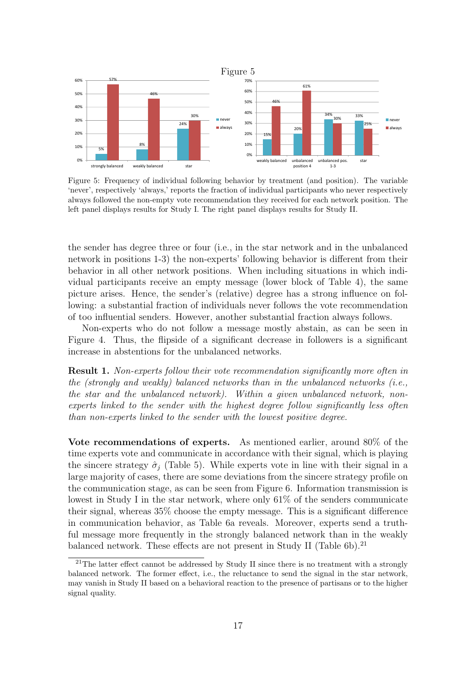

Figure 5: Frequency of individual following behavior by treatment (and position). The variable 'never', respectively 'always,' reports the fraction of individual participants who never respectively always followed the non-empty vote recommendation they received for each network position. The left panel displays results for Study I. The right panel displays results for Study II.

the sender has degree three or four (i.e., in the star network and in the unbalanced network in positions 1-3) the non-experts' following behavior is different from their behavior in all other network positions. When including situations in which individual participants receive an empty message (lower block of Table 4), the same picture arises. Hence, the sender's (relative) degree has a strong influence on following: a substantial fraction of individuals never follows the vote recommendation of too influential senders. However, another substantial fraction always follows.

Non-experts who do not follow a message mostly abstain, as can be seen in Figure 4. Thus, the flipside of a significant decrease in followers is a significant increase in abstentions for the unbalanced networks.

Result 1. Non-experts follow their vote recommendation significantly more often in the (strongly and weakly) balanced networks than in the unbalanced networks (i.e., the star and the unbalanced network). Within a given unbalanced network, nonexperts linked to the sender with the highest degree follow significantly less often than non-experts linked to the sender with the lowest positive degree.

Vote recommendations of experts. As mentioned earlier, around 80% of the time experts vote and communicate in accordance with their signal, which is playing the sincere strategy  $\hat{\sigma}_i$  (Table 5). While experts vote in line with their signal in a large majority of cases, there are some deviations from the sincere strategy profile on the communication stage, as can be seen from Figure 6. Information transmission is lowest in Study I in the star network, where only 61% of the senders communicate their signal, whereas 35% choose the empty message. This is a significant difference in communication behavior, as Table 6a reveals. Moreover, experts send a truthful message more frequently in the strongly balanced network than in the weakly balanced network. These effects are not present in Study II (Table  $6b$ ).<sup>21</sup>

 $21$ The latter effect cannot be addressed by Study II since there is no treatment with a strongly balanced network. The former effect, i.e., the reluctance to send the signal in the star network, may vanish in Study II based on a behavioral reaction to the presence of partisans or to the higher signal quality.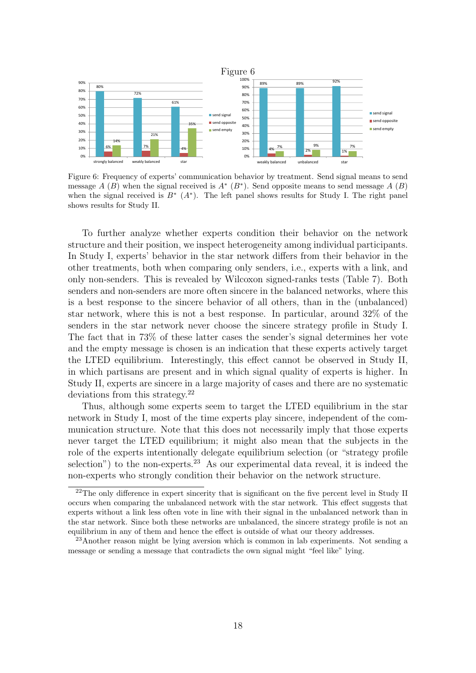

Figure 6: Frequency of experts' communication behavior by treatment. Send signal means to send message  $A(B)$  when the signal received is  $A^* (B^*)$ . Send opposite means to send message  $A(B)$ when the signal received is  $B^*$   $(A^*)$ . The left panel shows results for Study I. The right panel shows results for Study II.

To further analyze whether experts condition their behavior on the network structure and their position, we inspect heterogeneity among individual participants. In Study I, experts' behavior in the star network differs from their behavior in the other treatments, both when comparing only senders, i.e., experts with a link, and only non-senders. This is revealed by Wilcoxon signed-ranks tests (Table 7). Both senders and non-senders are more often sincere in the balanced networks, where this is a best response to the sincere behavior of all others, than in the (unbalanced) star network, where this is not a best response. In particular, around 32% of the senders in the star network never choose the sincere strategy profile in Study I. The fact that in 73% of these latter cases the sender's signal determines her vote and the empty message is chosen is an indication that these experts actively target the LTED equilibrium. Interestingly, this effect cannot be observed in Study II, in which partisans are present and in which signal quality of experts is higher. In Study II, experts are sincere in a large majority of cases and there are no systematic deviations from this strategy.<sup>22</sup>

Thus, although some experts seem to target the LTED equilibrium in the star network in Study I, most of the time experts play sincere, independent of the communication structure. Note that this does not necessarily imply that those experts never target the LTED equilibrium; it might also mean that the subjects in the role of the experts intentionally delegate equilibrium selection (or "strategy profile selection") to the non-experts.<sup>23</sup> As our experimental data reveal, it is indeed the non-experts who strongly condition their behavior on the network structure.

 $22$ The only difference in expert sincerity that is significant on the five percent level in Study II occurs when comparing the unbalanced network with the star network. This effect suggests that experts without a link less often vote in line with their signal in the unbalanced network than in the star network. Since both these networks are unbalanced, the sincere strategy profile is not an equilibrium in any of them and hence the effect is outside of what our theory addresses.

<sup>23</sup>Another reason might be lying aversion which is common in lab experiments. Not sending a message or sending a message that contradicts the own signal might "feel like" lying.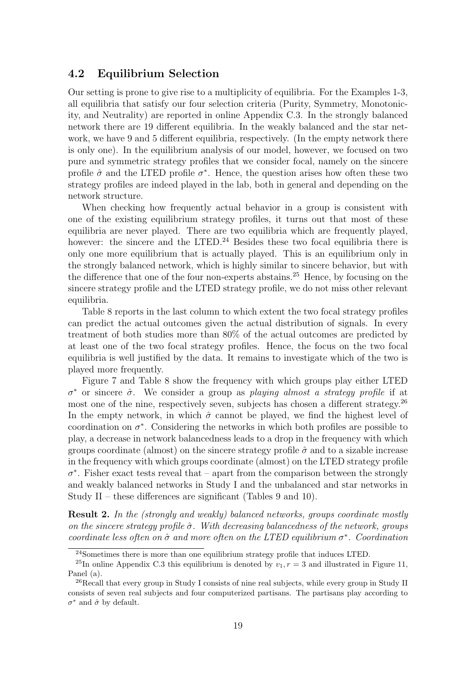### 4.2 Equilibrium Selection

Our setting is prone to give rise to a multiplicity of equilibria. For the Examples 1-3, all equilibria that satisfy our four selection criteria (Purity, Symmetry, Monotonicity, and Neutrality) are reported in online Appendix C.3. In the strongly balanced network there are 19 different equilibria. In the weakly balanced and the star network, we have 9 and 5 different equilibria, respectively. (In the empty network there is only one). In the equilibrium analysis of our model, however, we focused on two pure and symmetric strategy profiles that we consider focal, namely on the sincere profile  $\hat{\sigma}$  and the LTED profile  $\sigma^*$ . Hence, the question arises how often these two strategy profiles are indeed played in the lab, both in general and depending on the network structure.

When checking how frequently actual behavior in a group is consistent with one of the existing equilibrium strategy profiles, it turns out that most of these equilibria are never played. There are two equilibria which are frequently played, however: the sincere and the LTED.<sup>24</sup> Besides these two focal equilibria there is only one more equilibrium that is actually played. This is an equilibrium only in the strongly balanced network, which is highly similar to sincere behavior, but with the difference that one of the four non-experts abstains.<sup>25</sup> Hence, by focusing on the sincere strategy profile and the LTED strategy profile, we do not miss other relevant equilibria.

Table 8 reports in the last column to which extent the two focal strategy profiles can predict the actual outcomes given the actual distribution of signals. In every treatment of both studies more than 80% of the actual outcomes are predicted by at least one of the two focal strategy profiles. Hence, the focus on the two focal equilibria is well justified by the data. It remains to investigate which of the two is played more frequently.

Figure 7 and Table 8 show the frequency with which groups play either LTED  $\sigma^*$  or sincere  $\hat{\sigma}$ . We consider a group as playing almost a strategy profile if at most one of the nine, respectively seven, subjects has chosen a different strategy.<sup>26</sup> In the empty network, in which  $\hat{\sigma}$  cannot be played, we find the highest level of coordination on  $\sigma^*$ . Considering the networks in which both profiles are possible to play, a decrease in network balancedness leads to a drop in the frequency with which groups coordinate (almost) on the sincere strategy profile  $\hat{\sigma}$  and to a sizable increase in the frequency with which groups coordinate (almost) on the LTED strategy profile  $\sigma^*$ . Fisher exact tests reveal that – apart from the comparison between the strongly and weakly balanced networks in Study I and the unbalanced and star networks in Study II – these differences are significant (Tables 9 and 10).

**Result 2.** In the (strongly and weakly) balanced networks, groups coordinate mostly on the sincere strategy profile  $\hat{\sigma}$ . With decreasing balancedness of the network, groups coordinate less often on  $\hat{\sigma}$  and more often on the LTED equilibrium  $\sigma^*$ . Coordination

<sup>&</sup>lt;sup>24</sup>Sometimes there is more than one equilibrium strategy profile that induces LTED.

<sup>&</sup>lt;sup>25</sup>In online Appendix C.3 this equilibrium is denoted by  $v_1, r = 3$  and illustrated in Figure 11, Panel (a).

<sup>&</sup>lt;sup>26</sup>Recall that every group in Study I consists of nine real subjects, while every group in Study II consists of seven real subjects and four computerized partisans. The partisans play according to  $\sigma^*$  and  $\hat{\sigma}$  by default.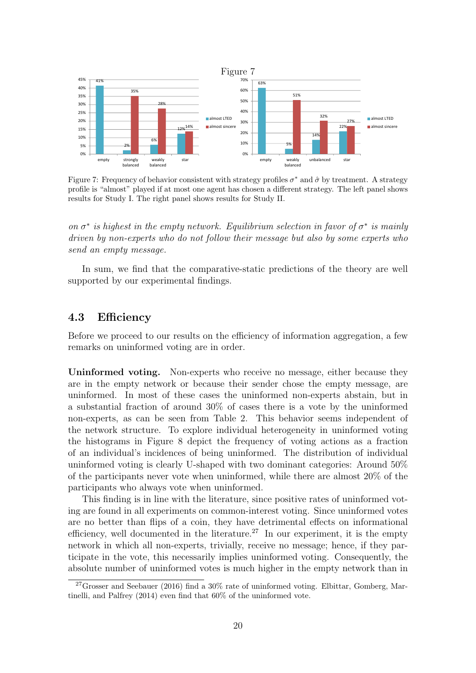

Figure 7: Frequency of behavior consistent with strategy profiles  $\sigma^*$  and  $\hat{\sigma}$  by treatment. A strategy profile is "almost" played if at most one agent has chosen a different strategy. The left panel shows results for Study I. The right panel shows results for Study II.

on  $\sigma^*$  is highest in the empty network. Equilibrium selection in favor of  $\sigma^*$  is mainly driven by non-experts who do not follow their message but also by some experts who send an empty message.

In sum, we find that the comparative-static predictions of the theory are well supported by our experimental findings.

#### 4.3 Efficiency

Before we proceed to our results on the efficiency of information aggregation, a few remarks on uninformed voting are in order.

Uninformed voting. Non-experts who receive no message, either because they are in the empty network or because their sender chose the empty message, are uninformed. In most of these cases the uninformed non-experts abstain, but in a substantial fraction of around 30% of cases there is a vote by the uninformed non-experts, as can be seen from Table 2. This behavior seems independent of the network structure. To explore individual heterogeneity in uninformed voting the histograms in Figure 8 depict the frequency of voting actions as a fraction of an individual's incidences of being uninformed. The distribution of individual uninformed voting is clearly U-shaped with two dominant categories: Around 50% of the participants never vote when uninformed, while there are almost 20% of the participants who always vote when uninformed.

This finding is in line with the literature, since positive rates of uninformed voting are found in all experiments on common-interest voting. Since uninformed votes are no better than flips of a coin, they have detrimental effects on informational efficiency, well documented in the literature.<sup>27</sup> In our experiment, it is the empty network in which all non-experts, trivially, receive no message; hence, if they participate in the vote, this necessarily implies uninformed voting. Consequently, the absolute number of uninformed votes is much higher in the empty network than in

<sup>&</sup>lt;sup>27</sup>Grosser and Seebauer (2016) find a  $30\%$  rate of uninformed voting. Elbittar, Gomberg, Martinelli, and Palfrey (2014) even find that 60% of the uninformed vote.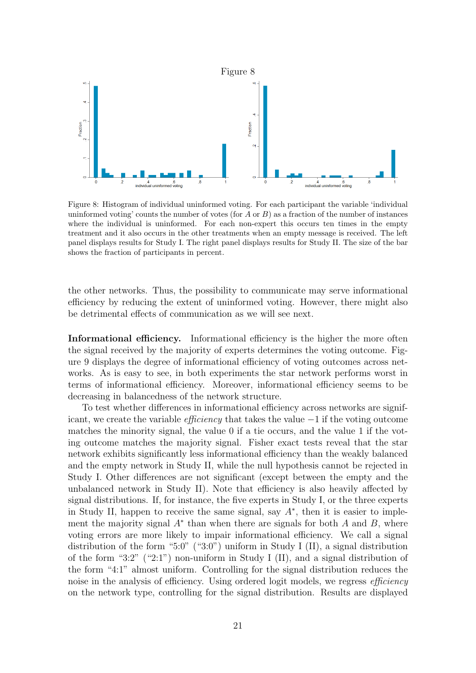

Figure 8: Histogram of individual uninformed voting. For each participant the variable 'individual uninformed voting' counts the number of votes (for A or B) as a fraction of the number of instances where the individual is uninformed. For each non-expert this occurs ten times in the empty treatment and it also occurs in the other treatments when an empty message is received. The left panel displays results for Study I. The right panel displays results for Study II. The size of the bar shows the fraction of participants in percent.

the other networks. Thus, the possibility to communicate may serve informational efficiency by reducing the extent of uninformed voting. However, there might also be detrimental effects of communication as we will see next.

Informational efficiency. Informational efficiency is the higher the more often the signal received by the majority of experts determines the voting outcome. Figure 9 displays the degree of informational efficiency of voting outcomes across networks. As is easy to see, in both experiments the star network performs worst in terms of informational efficiency. Moreover, informational efficiency seems to be decreasing in balancedness of the network structure.

To test whether differences in informational efficiency across networks are significant, we create the variable *efficiency* that takes the value  $-1$  if the voting outcome matches the minority signal, the value 0 if a tie occurs, and the value 1 if the voting outcome matches the majority signal. Fisher exact tests reveal that the star network exhibits significantly less informational efficiency than the weakly balanced and the empty network in Study II, while the null hypothesis cannot be rejected in Study I. Other differences are not significant (except between the empty and the unbalanced network in Study II). Note that efficiency is also heavily affected by signal distributions. If, for instance, the five experts in Study I, or the three experts in Study II, happen to receive the same signal, say  $A^*$ , then it is easier to implement the majority signal  $A^*$  than when there are signals for both  $A$  and  $B$ , where voting errors are more likely to impair informational efficiency. We call a signal distribution of the form "5:0" ("3:0") uniform in Study I (II), a signal distribution of the form "3:2" ("2:1") non-uniform in Study I (II), and a signal distribution of the form "4:1" almost uniform. Controlling for the signal distribution reduces the noise in the analysis of efficiency. Using ordered logit models, we regress *efficiency* on the network type, controlling for the signal distribution. Results are displayed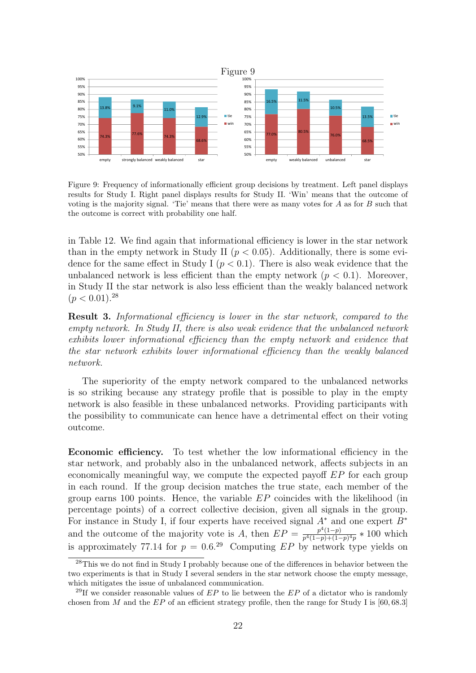

Figure 9: Frequency of informationally efficient group decisions by treatment. Left panel displays results for Study I. Right panel displays results for Study II. 'Win' means that the outcome of voting is the majority signal. 'Tie' means that there were as many votes for  $A$  as for  $B$  such that the outcome is correct with probability one half.

in Table 12. We find again that informational efficiency is lower in the star network than in the empty network in Study II ( $p < 0.05$ ). Additionally, there is some evidence for the same effect in Study I  $(p < 0.1)$ . There is also weak evidence that the unbalanced network is less efficient than the empty network  $(p < 0.1)$ . Moreover, in Study II the star network is also less efficient than the weakly balanced network  $(p < 0.01).^{28}$ 

Result 3. Informational efficiency is lower in the star network, compared to the empty network. In Study II, there is also weak evidence that the unbalanced network exhibits lower informational efficiency than the empty network and evidence that the star network exhibits lower informational efficiency than the weakly balanced network.

The superiority of the empty network compared to the unbalanced networks is so striking because any strategy profile that is possible to play in the empty network is also feasible in these unbalanced networks. Providing participants with the possibility to communicate can hence have a detrimental effect on their voting outcome.

Economic efficiency. To test whether the low informational efficiency in the star network, and probably also in the unbalanced network, affects subjects in an economically meaningful way, we compute the expected payoff EP for each group in each round. If the group decision matches the true state, each member of the group earns 100 points. Hence, the variable  $EP$  coincides with the likelihood (in percentage points) of a correct collective decision, given all signals in the group. For instance in Study I, if four experts have received signal  $A^*$  and one expert  $B^*$ and the outcome of the majority vote is A, then  $EP = \frac{p^4(1-p)}{n^4(1-n)+(1-p)}$  $\frac{p^{4}(1-p)}{p^{4}(1-p)+(1-p)^{4}p} * 100$  which is approximately 77.14 for  $p = 0.6^{29}$  Computing EP by network type yields on

<sup>&</sup>lt;sup>28</sup>This we do not find in Study I probably because one of the differences in behavior between the two experiments is that in Study I several senders in the star network choose the empty message, which mitigates the issue of unbalanced communication.

<sup>&</sup>lt;sup>29</sup>If we consider reasonable values of  $EP$  to lie between the  $EP$  of a dictator who is randomly chosen from M and the  $EP$  of an efficient strategy profile, then the range for Study I is [60, 68.3]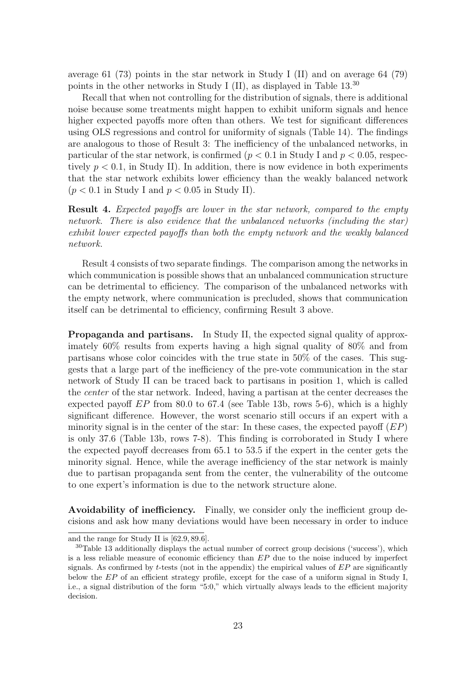average 61 (73) points in the star network in Study I (II) and on average 64 (79) points in the other networks in Study I (II), as displayed in Table 13.<sup>30</sup>

Recall that when not controlling for the distribution of signals, there is additional noise because some treatments might happen to exhibit uniform signals and hence higher expected payoffs more often than others. We test for significant differences using OLS regressions and control for uniformity of signals (Table 14). The findings are analogous to those of Result 3: The inefficiency of the unbalanced networks, in particular of the star network, is confirmed ( $p < 0.1$  in Study I and  $p < 0.05$ , respectively  $p < 0.1$ , in Study II). In addition, there is now evidence in both experiments that the star network exhibits lower efficiency than the weakly balanced network  $(p < 0.1$  in Study I and  $p < 0.05$  in Study II).

Result 4. Expected payoffs are lower in the star network, compared to the empty network. There is also evidence that the unbalanced networks (including the star) exhibit lower expected payoffs than both the empty network and the weakly balanced network.

Result 4 consists of two separate findings. The comparison among the networks in which communication is possible shows that an unbalanced communication structure can be detrimental to efficiency. The comparison of the unbalanced networks with the empty network, where communication is precluded, shows that communication itself can be detrimental to efficiency, confirming Result 3 above.

Propaganda and partisans. In Study II, the expected signal quality of approximately 60% results from experts having a high signal quality of 80% and from partisans whose color coincides with the true state in 50% of the cases. This suggests that a large part of the inefficiency of the pre-vote communication in the star network of Study II can be traced back to partisans in position 1, which is called the center of the star network. Indeed, having a partisan at the center decreases the expected payoff  $EP$  from 80.0 to 67.4 (see Table 13b, rows 5-6), which is a highly significant difference. However, the worst scenario still occurs if an expert with a minority signal is in the center of the star: In these cases, the expected payoff  $(EP)$ is only 37.6 (Table 13b, rows 7-8). This finding is corroborated in Study I where the expected payoff decreases from 65.1 to 53.5 if the expert in the center gets the minority signal. Hence, while the average inefficiency of the star network is mainly due to partisan propaganda sent from the center, the vulnerability of the outcome to one expert's information is due to the network structure alone.

Avoidability of inefficiency. Finally, we consider only the inefficient group decisions and ask how many deviations would have been necessary in order to induce

and the range for Study II is [62.9, 89.6].

<sup>30</sup>Table 13 additionally displays the actual number of correct group decisions ('success'), which is a less reliable measure of economic efficiency than  $EP$  due to the noise induced by imperfect signals. As confirmed by t-tests (not in the appendix) the empirical values of  $EP$  are significantly below the EP of an efficient strategy profile, except for the case of a uniform signal in Study I, i.e., a signal distribution of the form "5:0," which virtually always leads to the efficient majority decision.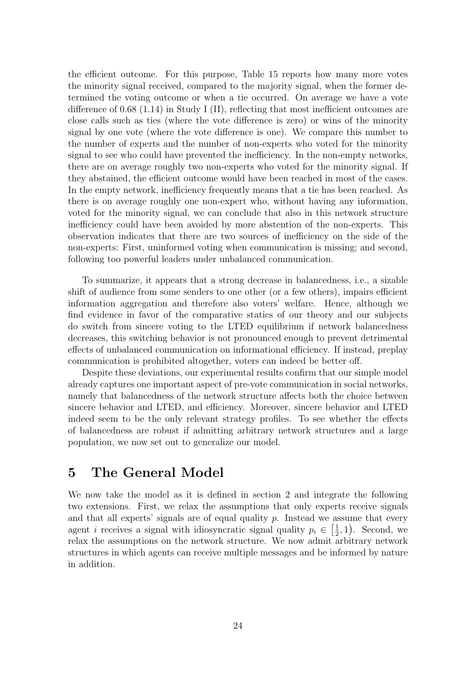the efficient outcome. For this purpose, Table 15 reports how many more votes the minority signal received, compared to the majority signal, when the former determined the voting outcome or when a tie occurred. On average we have a vote difference of 0.68 (1.14) in Study I (II), reflecting that most inefficient outcomes are close calls such as ties (where the vote difference is zero) or wins of the minority signal by one vote (where the vote difference is one). We compare this number to the number of experts and the number of non-experts who voted for the minority signal to see who could have prevented the inefficiency. In the non-empty networks, there are on average roughly two non-experts who voted for the minority signal. If they abstained, the efficient outcome would have been reached in most of the cases. In the empty network, inefficiency frequently means that a tie has been reached. As there is on average roughly one non-expert who, without having any information, voted for the minority signal, we can conclude that also in this network structure inefficiency could have been avoided by more abstention of the non-experts. This observation indicates that there are two sources of inefficiency on the side of the non-experts: First, uninformed voting when communication is missing; and second, following too powerful leaders under unbalanced communication.

To summarize, it appears that a strong decrease in balancedness, i.e., a sizable shift of audience from some senders to one other (or a few others), impairs efficient information aggregation and therefore also voters' welfare. Hence, although we find evidence in favor of the comparative statics of our theory and our subjects do switch from sincere voting to the LTED equilibrium if network balancedness decreases, this switching behavior is not pronounced enough to prevent detrimental effects of unbalanced communication on informational efficiency. If instead, preplay communication is prohibited altogether, voters can indeed be better off.

Despite these deviations, our experimental results confirm that our simple model already captures one important aspect of pre-vote communication in social networks, namely that balancedness of the network structure affects both the choice between sincere behavior and LTED, and efficiency. Moreover, sincere behavior and LTED indeed seem to be the only relevant strategy profiles. To see whether the effects of balancedness are robust if admitting arbitrary network structures and a large population, we now set out to generalize our model.

# 5 The General Model

We now take the model as it is defined in section 2 and integrate the following two extensions. First, we relax the assumptions that only experts receive signals and that all experts' signals are of equal quality  $p$ . Instead we assume that every agent *i* receives a signal with idiosyncratic signal quality  $p_i \in \left[\frac{1}{2}\right]$  $(\frac{1}{2}, 1)$ . Second, we relax the assumptions on the network structure. We now admit arbitrary network structures in which agents can receive multiple messages and be informed by nature in addition.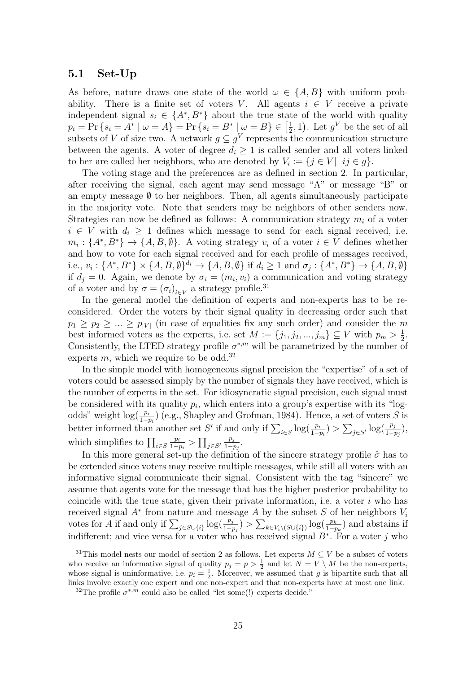### 5.1 Set-Up

As before, nature draws one state of the world  $\omega \in \{A, B\}$  with uniform probability. There is a finite set of voters V. All agents  $i \in V$  receive a private independent signal  $s_i \in \{A^*, B^*\}$  about the true state of the world with quality  $p_i = Pr\{s_i = A^* | \omega = A\} = Pr\{s_i = B^* | \omega = B\} \in \left[\frac{1}{2}\right]$  $(\frac{1}{2}, 1)$ . Let  $g^V$  be the set of all subsets of V of size two. A network  $g \subseteq g^V$  represents the communication structure between the agents. A voter of degree  $d_i \geq 1$  is called sender and all voters linked to her are called her neighbors, who are denoted by  $V_i := \{j \in V | i j \in g\}.$ 

The voting stage and the preferences are as defined in section 2. In particular, after receiving the signal, each agent may send message "A" or message "B" or an empty message  $\emptyset$  to her neighbors. Then, all agents simultaneously participate in the majority vote. Note that senders may be neighbors of other senders now. Strategies can now be defined as follows: A communication strategy  $m_i$  of a voter  $i \in V$  with  $d_i \geq 1$  defines which message to send for each signal received, i.e.  $m_i: \{A^*, B^*\} \to \{A, B, \emptyset\}.$  A voting strategy  $v_i$  of a voter  $i \in V$  defines whether and how to vote for each signal received and for each profile of messages received, i.e.,  $v_i: \{A^*, B^*\} \times \{A, B, \emptyset\}^{d_i} \rightarrow \{A, B, \emptyset\}$  if  $d_i \geq 1$  and  $\sigma_j: \{A^*, B^*\} \rightarrow \{A, B, \emptyset\}$ if  $d_j = 0$ . Again, we denote by  $\sigma_i = (m_i, v_i)$  a communication and voting strategy of a voter and by  $\sigma = (\sigma_i)_{i \in V}$  a strategy profile.<sup>31</sup>

In the general model the definition of experts and non-experts has to be reconsidered. Order the voters by their signal quality in decreasing order such that  $p_1 \geq p_2 \geq ... \geq p_{|V|}$  (in case of equalities fix any such order) and consider the m best informed voters as the experts, i.e. set  $M := \{j_1, j_2, ..., j_m\} \subseteq V$  with  $p_m > \frac{1}{2}$  $\frac{1}{2}$ . Consistently, the LTED strategy profile  $\sigma^{*,m}$  will be parametrized by the number of experts  $m$ , which we require to be odd.<sup>32</sup>

In the simple model with homogeneous signal precision the "expertise" of a set of voters could be assessed simply by the number of signals they have received, which is the number of experts in the set. For idiosyncratic signal precision, each signal must be considered with its quality  $p_i$ , which enters into a group's expertise with its "logodds" weight  $log(\frac{p_i}{1-p_i})$  (e.g., Shapley and Grofman, 1984). Hence, a set of voters S is better informed than another set S' if and only if  $\sum_{i \in S} \log(\frac{p_i}{1-p_i}) > \sum_{j \in S'} \log(\frac{p_j}{1-p_j}),$ which simplifies to  $\prod_{i \in S} \frac{p_i}{1-q}$  $\frac{p_i}{1-p_i} > \prod_{j \in S'}$  $p_j$  $\frac{p_j}{1-p_j}$ .

In this more general set-up the definition of the sincere strategy profile  $\hat{\sigma}$  has to be extended since voters may receive multiple messages, while still all voters with an informative signal communicate their signal. Consistent with the tag "sincere" we assume that agents vote for the message that has the higher posterior probability to coincide with the true state, given their private information, i.e. a voter  $i$  who has received signal  $A^*$  from nature and message A by the subset S of her neighbors  $V_i$ votes for A if and only if  $\sum_{j \in S \cup \{i\}} \log(\frac{p_j}{1-p_j}) > \sum_{k \in V_i \setminus (S \cup \{i\})} \log(\frac{p_k}{1-p_k})$  and abstains if indifferent; and vice versa for a voter who has received signal  $B^*$ . For a voter j who

<sup>&</sup>lt;sup>31</sup>This model nests our model of section 2 as follows. Let experts  $M \subseteq V$  be a subset of voters who receive an informative signal of quality  $p_j = p > \frac{1}{2}$  and let  $N = V \setminus M$  be the non-experts, who receive an informative signal or quality  $p_j - p > 2$  and let  $N - V \setminus M$  be the hon-experts,<br>whose signal is uninformative, i.e.  $p_i = \frac{1}{2}$ . Moreover, we assumed that g is bipartite such that all links involve exactly one expert and one non-expert and that non-experts have at most one link.

<sup>&</sup>lt;sup>32</sup>The profile  $\sigma^{*,m}$  could also be called "let some(!) experts decide."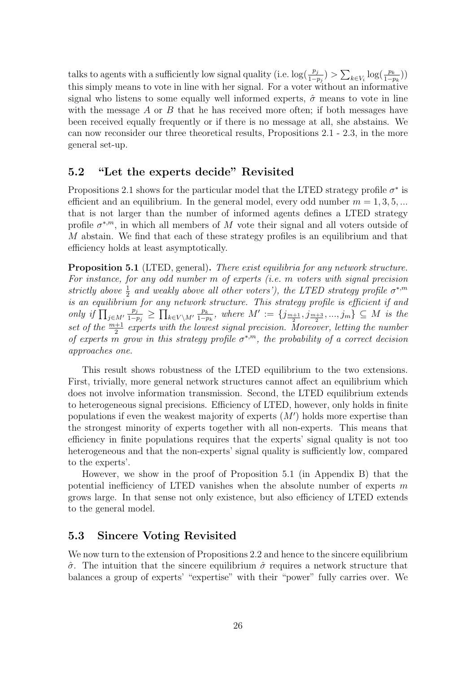talks to agents with a sufficiently low signal quality (i.e.  $\log(\frac{p_j}{1-p_j}) > \sum_{k \in V_i} \log(\frac{p_k}{1-p_k})$ ) this simply means to vote in line with her signal. For a voter without an informative signal who listens to some equally well informed experts,  $\hat{\sigma}$  means to vote in line with the message  $A$  or  $B$  that he has received more often; if both messages have been received equally frequently or if there is no message at all, she abstains. We can now reconsider our three theoretical results, Propositions 2.1 - 2.3, in the more general set-up.

### 5.2 "Let the experts decide" Revisited

Propositions 2.1 shows for the particular model that the LTED strategy profile  $\sigma^*$  is efficient and an equilibrium. In the general model, every odd number  $m = 1, 3, 5, ...$ that is not larger than the number of informed agents defines a LTED strategy profile  $\sigma^{*,m}$ , in which all members of M vote their signal and all voters outside of M abstain. We find that each of these strategy profiles is an equilibrium and that efficiency holds at least asymptotically.

Proposition 5.1 (LTED, general). There exist equilibria for any network structure. For instance, for any odd number m of experts (i.e. m voters with signal precision strictly above  $\frac{1}{2}$  and weakly above all other voters'), the LTED strategy profile  $\sigma^{*,m}$ is an equilibrium for any network structure. This strategy profile is efficient if and only if  $\prod_{j\in M'}$  $p_j$  $\frac{p_j}{1-p_j}$  ≥  $\prod_{k\in V\setminus M'} \frac{p_k}{1-p_k}$  $\frac{p_k}{1-p_k}$ , where  $M' := \{j_{\frac{m+1}{2}}, j_{\frac{m+3}{2}}, ..., j_m\} \subseteq M$  is the set of the  $\frac{m+1}{2}$  experts with the lowest signal precision. Moreover, letting the number of experts m grow in this strategy profile  $\sigma^{*,m}$ , the probability of a correct decision approaches one.

This result shows robustness of the LTED equilibrium to the two extensions. First, trivially, more general network structures cannot affect an equilibrium which does not involve information transmission. Second, the LTED equilibrium extends to heterogeneous signal precisions. Efficiency of LTED, however, only holds in finite populations if even the weakest majority of experts  $(M')$  holds more expertise than the strongest minority of experts together with all non-experts. This means that efficiency in finite populations requires that the experts' signal quality is not too heterogeneous and that the non-experts' signal quality is sufficiently low, compared to the experts'.

However, we show in the proof of Proposition 5.1 (in Appendix B) that the potential inefficiency of LTED vanishes when the absolute number of experts  $m$ grows large. In that sense not only existence, but also efficiency of LTED extends to the general model.

#### 5.3 Sincere Voting Revisited

We now turn to the extension of Propositions 2.2 and hence to the sincere equilibrium  $\hat{\sigma}$ . The intuition that the sincere equilibrium  $\hat{\sigma}$  requires a network structure that balances a group of experts' "expertise" with their "power" fully carries over. We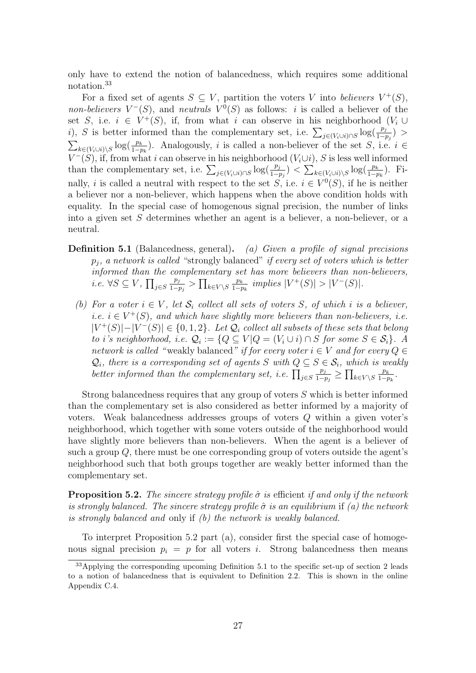only have to extend the notion of balancedness, which requires some additional notation.<sup>33</sup>

For a fixed set of agents  $S \subseteq V$ , partition the voters V into believers  $V^+(S)$ , *non-believers*  $V^-(S)$ , and *neutrals*  $V^0(S)$  as follows: *i* is called a believer of the set S, i.e.  $i \in V^+(S)$ , if, from what i can observe in his neighborhood (V<sub>i</sub> ∪ i), S is better informed than the complementary set, i.e.  $\sum_{j\in (V_i\cup i)\cap S}\log(\frac{p_j}{1-p_j})$  $\sum_{k\in (V_i\cup i)\setminus S}\log(\frac{p_k}{1-p_k})$ . Analogously, i is called a non-believer of the set S, i.e.  $i \in$  $V^-(S)$ , if, from what i can observe in his neighborhood  $(V_i\cup i)$ , S is less well informed than the complementary set, i.e.  $\sum_{j \in (V_i \cup i) \cap S} \log(\frac{p_j}{1-p_j}) < \sum_{k \in (V_i \cup i) \setminus S} \log(\frac{p_k}{1-p_k})$ . Finally, i is called a neutral with respect to the set S, i.e.  $i \in V^0(S)$ , if he is neither a believer nor a non-believer, which happens when the above condition holds with equality. In the special case of homogenous signal precision, the number of links into a given set S determines whether an agent is a believer, a non-believer, or a neutral.

- **Definition 5.1** (Balancedness, general). (a) Given a profile of signal precisions  $p_i$ , a network is called "strongly balanced" if every set of voters which is better informed than the complementary set has more believers than non-believers, *i.e.* ∀S  $\subseteq$   $V$ ,  $\prod_{j \in S}$  $p_j$  $\frac{p_j}{1-p_j}$  >  $\prod_{k\in V\setminus S} \frac{p_k}{1-p_k}$  $\frac{p_k}{1-p_k}$  implies  $|V^+(S)| > |V^-(S)|$ .
	- (b) For a voter  $i \in V$ , let  $S_i$  collect all sets of voters S, of which i is a believer, *i.e.*  $i \in V^+(S)$ , and which have slightly more believers than non-believers, *i.e.*  $|V^+(S)|-|V^-(S)| \in \{0,1,2\}$ . Let  $\mathcal{Q}_i$  collect all subsets of these sets that belong to i's neighborhood, i.e.  $\mathcal{Q}_i := \{Q \subseteq V | Q = (V_i \cup i) \cap S \text{ for some } S \in \mathcal{S}_i\}$ . A network is called "weakly balanced" if for every voter  $i \in V$  and for every  $Q \in$  $\mathcal{Q}_i$ , there is a corresponding set of agents S with  $Q \subseteq S \in \mathcal{S}_i$ , which is weakly better informed than the complementary set, i.e.  $\prod_{j\in S}$  $p_j$  $\frac{p_j}{1-p_j}$  ≥  $\prod_{k\in V\setminus S} \frac{p_k}{1-p_k}$  $\frac{p_k}{1-p_k}$ .

Strong balancedness requires that any group of voters S which is better informed than the complementary set is also considered as better informed by a majority of voters. Weak balancedness addresses groups of voters Q within a given voter's neighborhood, which together with some voters outside of the neighborhood would have slightly more believers than non-believers. When the agent is a believer of such a group  $Q$ , there must be one corresponding group of voters outside the agent's neighborhood such that both groups together are weakly better informed than the complementary set.

**Proposition 5.2.** The sincere strategy profile  $\hat{\sigma}$  is efficient if and only if the network is strongly balanced. The sincere strategy profile  $\hat{\sigma}$  is an equilibrium if (a) the network is strongly balanced and only if (b) the network is weakly balanced.

To interpret Proposition 5.2 part (a), consider first the special case of homogenous signal precision  $p_i = p$  for all voters i. Strong balancedness then means

<sup>&</sup>lt;sup>33</sup>Applying the corresponding upcoming Definition 5.1 to the specific set-up of section 2 leads to a notion of balancedness that is equivalent to Definition 2.2. This is shown in the online Appendix C.4.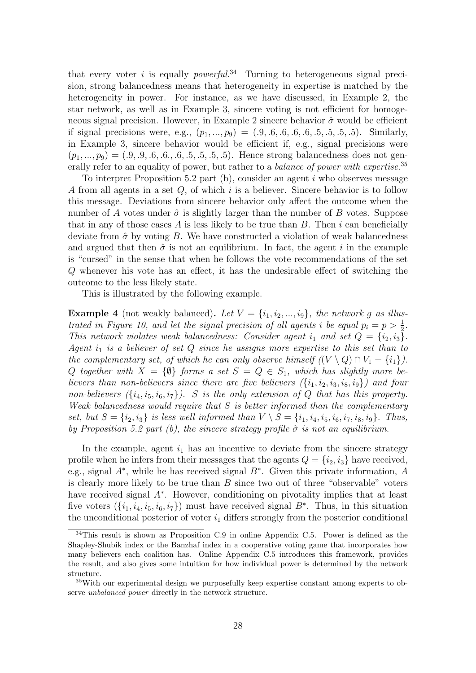that every voter i is equally *powerful.*<sup>34</sup> Turning to heterogeneous signal precision, strong balancedness means that heterogeneity in expertise is matched by the heterogeneity in power. For instance, as we have discussed, in Example 2, the star network, as well as in Example 3, sincere voting is not efficient for homogeneous signal precision. However, in Example 2 sincere behavior  $\hat{\sigma}$  would be efficient if signal precisions were, e.g.,  $(p_1, ..., p_9) = (0.9, 0.6, 0.6, 0.5, 0.5, 0.5, 0.5)$ . Similarly, in Example 3, sincere behavior would be efficient if, e.g., signal precisions were  $(p_1, ..., p_9) = (0.9, 0.9, 0.6, 0.6, 0.5, 0.5, 0.5)$ . Hence strong balancedness does not generally refer to an equality of power, but rather to a *balance of power with expertise*.<sup>35</sup>

To interpret Proposition 5.2 part (b), consider an agent  $i$  who observes message A from all agents in a set  $Q$ , of which i is a believer. Sincere behavior is to follow this message. Deviations from sincere behavior only affect the outcome when the number of A votes under  $\hat{\sigma}$  is slightly larger than the number of B votes. Suppose that in any of those cases A is less likely to be true than  $B$ . Then i can beneficially deviate from  $\hat{\sigma}$  by voting B. We have constructed a violation of weak balancedness and argued that then  $\hat{\sigma}$  is not an equilibrium. In fact, the agent i in the example is "cursed" in the sense that when he follows the vote recommendations of the set Q whenever his vote has an effect, it has the undesirable effect of switching the outcome to the less likely state.

This is illustrated by the following example.

**Example 4** (not weakly balanced). Let  $V = \{i_1, i_2, ..., i_9\}$ , the network g as illustrated in Figure 10, and let the signal precision of all agents i be equal  $p_i = p > \frac{1}{2}$ . This network violates weak balancedness: Consider agent  $i_1$  and set  $Q = \{i_2, i_3\}.$ Agent  $i_1$  is a believer of set  $Q$  since he assigns more expertise to this set than to the complementary set, of which he can only observe himself  $((V \setminus Q) \cap V_1 = \{i_1\}).$ Q together with  $X = \{\emptyset\}$  forms a set  $S = Q \in S_1$ , which has slightly more believers than non-believers since there are five believers  $(\{i_1, i_2, i_3, i_8, i_9\})$  and four non-believers  $({i_4, i_5, i_6, i_7})$ . S is the only extension of Q that has this property. Weak balancedness would require that  $S$  is better informed than the complementary set, but  $S = \{i_2, i_3\}$  is less well informed than  $V \setminus S = \{i_1, i_4, i_5, i_6, i_7, i_8, i_9\}$ . Thus, by Proposition 5.2 part (b), the sincere strategy profile  $\hat{\sigma}$  is not an equilibrium.

In the example, agent  $i_1$  has an incentive to deviate from the sincere strategy profile when he infers from their messages that the agents  $Q = \{i_2, i_3\}$  have received, e.g., signal  $A^*$ , while he has received signal  $B^*$ . Given this private information, A is clearly more likely to be true than B since two out of three "observable" voters have received signal A<sup>∗</sup> . However, conditioning on pivotality implies that at least five voters  $(\{i_1, i_4, i_5, i_6, i_7\})$  must have received signal  $B^*$ . Thus, in this situation the unconditional posterior of voter  $i_1$  differs strongly from the posterior conditional

<sup>34</sup>This result is shown as Proposition C.9 in online Appendix C.5. Power is defined as the Shapley-Shubik index or the Banzhaf index in a cooperative voting game that incorporates how many believers each coalition has. Online Appendix C.5 introduces this framework, provides the result, and also gives some intuition for how individual power is determined by the network structure.

<sup>35</sup>With our experimental design we purposefully keep expertise constant among experts to observe unbalanced power directly in the network structure.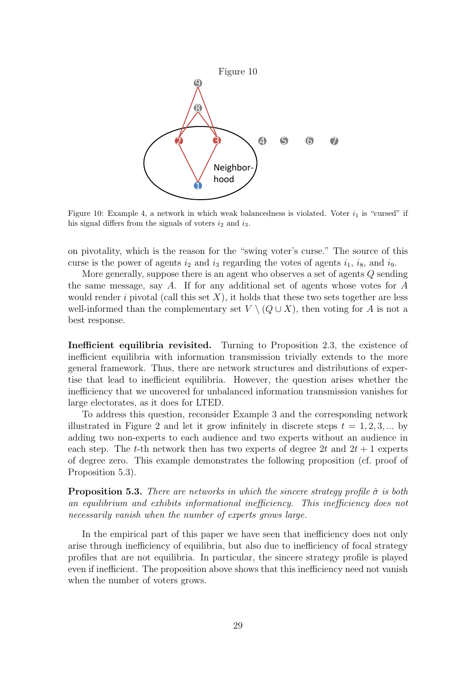

Figure 10: Example 4, a network in which weak balancedness is violated. Voter  $i_1$  is "cursed" if his signal differs from the signals of voters  $i_2$  and  $i_3$ .

on pivotality, which is the reason for the "swing voter's curse." The source of this curse is the power of agents  $i_2$  and  $i_3$  regarding the votes of agents  $i_1$ ,  $i_8$ , and  $i_9$ .

More generally, suppose there is an agent who observes a set of agents Q sending the same message, say A. If for any additional set of agents whose votes for A would render i pivotal (call this set  $X$ ), it holds that these two sets together are less well-informed than the complementary set  $V \setminus (Q \cup X)$ , then voting for A is not a best response.

Inefficient equilibria revisited. Turning to Proposition 2.3, the existence of inefficient equilibria with information transmission trivially extends to the more general framework. Thus, there are network structures and distributions of expertise that lead to inefficient equilibria. However, the question arises whether the inefficiency that we uncovered for unbalanced information transmission vanishes for large electorates, as it does for LTED.

To address this question, reconsider Example 3 and the corresponding network illustrated in Figure 2 and let it grow infinitely in discrete steps  $t = 1, 2, 3, ...$  by adding two non-experts to each audience and two experts without an audience in each step. The t-th network then has two experts of degree 2t and  $2t + 1$  experts of degree zero. This example demonstrates the following proposition (cf. proof of Proposition 5.3).

**Proposition 5.3.** There are networks in which the sincere strategy profile  $\hat{\sigma}$  is both an equilibrium and exhibits informational inefficiency. This inefficiency does not necessarily vanish when the number of experts grows large.

In the empirical part of this paper we have seen that inefficiency does not only arise through inefficiency of equilibria, but also due to inefficiency of focal strategy profiles that are not equilibria. In particular, the sincere strategy profile is played even if inefficient. The proposition above shows that this inefficiency need not vanish when the number of voters grows.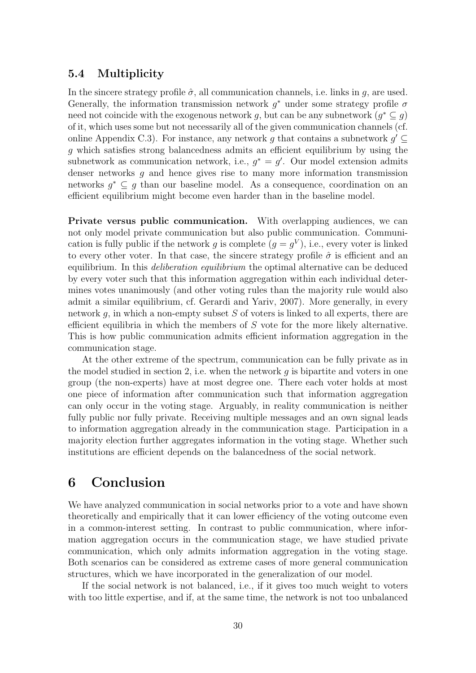### 5.4 Multiplicity

In the sincere strategy profile  $\hat{\sigma}$ , all communication channels, i.e. links in q, are used. Generally, the information transmission network  $g^*$  under some strategy profile  $\sigma$ need not coincide with the exogenous network g, but can be any subnetwork  $(g^* \subseteq g)$ of it, which uses some but not necessarily all of the given communication channels (cf. online Appendix C.3). For instance, any network g that contains a subnetwork  $g' \subseteq$ g which satisfies strong balancedness admits an efficient equilibrium by using the subnetwork as communication network, i.e.,  $g^* = g'$ . Our model extension admits denser networks  $q$  and hence gives rise to many more information transmission networks  $g^* \subseteq g$  than our baseline model. As a consequence, coordination on an efficient equilibrium might become even harder than in the baseline model.

Private versus public communication. With overlapping audiences, we can not only model private communication but also public communication. Communication is fully public if the network g is complete  $(g = g^V)$ , i.e., every voter is linked to every other voter. In that case, the sincere strategy profile  $\hat{\sigma}$  is efficient and an equilibrium. In this *deliberation equilibrium* the optimal alternative can be deduced by every voter such that this information aggregation within each individual determines votes unanimously (and other voting rules than the majority rule would also admit a similar equilibrium, cf. Gerardi and Yariv, 2007). More generally, in every network g, in which a non-empty subset  $S$  of voters is linked to all experts, there are efficient equilibria in which the members of S vote for the more likely alternative. This is how public communication admits efficient information aggregation in the communication stage.

At the other extreme of the spectrum, communication can be fully private as in the model studied in section 2, i.e. when the network  $g$  is bipartite and voters in one group (the non-experts) have at most degree one. There each voter holds at most one piece of information after communication such that information aggregation can only occur in the voting stage. Arguably, in reality communication is neither fully public nor fully private. Receiving multiple messages and an own signal leads to information aggregation already in the communication stage. Participation in a majority election further aggregates information in the voting stage. Whether such institutions are efficient depends on the balancedness of the social network.

# 6 Conclusion

We have analyzed communication in social networks prior to a vote and have shown theoretically and empirically that it can lower efficiency of the voting outcome even in a common-interest setting. In contrast to public communication, where information aggregation occurs in the communication stage, we have studied private communication, which only admits information aggregation in the voting stage. Both scenarios can be considered as extreme cases of more general communication structures, which we have incorporated in the generalization of our model.

If the social network is not balanced, i.e., if it gives too much weight to voters with too little expertise, and if, at the same time, the network is not too unbalanced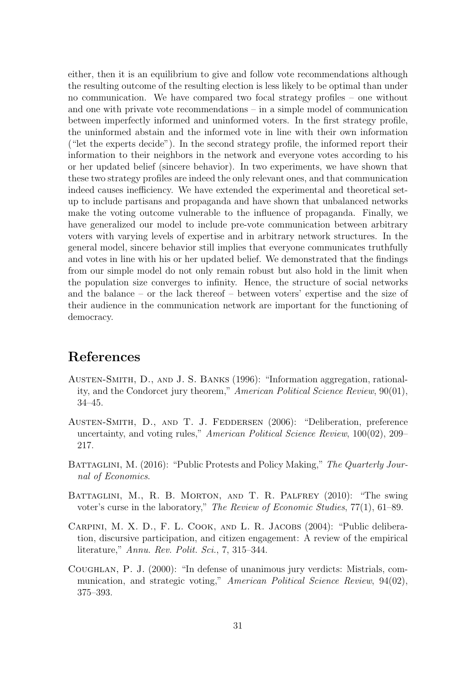either, then it is an equilibrium to give and follow vote recommendations although the resulting outcome of the resulting election is less likely to be optimal than under no communication. We have compared two focal strategy profiles – one without and one with private vote recommendations – in a simple model of communication between imperfectly informed and uninformed voters. In the first strategy profile, the uninformed abstain and the informed vote in line with their own information ("let the experts decide"). In the second strategy profile, the informed report their information to their neighbors in the network and everyone votes according to his or her updated belief (sincere behavior). In two experiments, we have shown that these two strategy profiles are indeed the only relevant ones, and that communication indeed causes inefficiency. We have extended the experimental and theoretical setup to include partisans and propaganda and have shown that unbalanced networks make the voting outcome vulnerable to the influence of propaganda. Finally, we have generalized our model to include pre-vote communication between arbitrary voters with varying levels of expertise and in arbitrary network structures. In the general model, sincere behavior still implies that everyone communicates truthfully and votes in line with his or her updated belief. We demonstrated that the findings from our simple model do not only remain robust but also hold in the limit when the population size converges to infinity. Hence, the structure of social networks and the balance – or the lack thereof – between voters' expertise and the size of their audience in the communication network are important for the functioning of democracy.

# References

- Austen-Smith, D., and J. S. Banks (1996): "Information aggregation, rationality, and the Condorcet jury theorem," American Political Science Review, 90(01), 34–45.
- Austen-Smith, D., and T. J. Feddersen (2006): "Deliberation, preference uncertainty, and voting rules," American Political Science Review, 100(02), 209– 217.
- BATTAGLINI, M. (2016): "Public Protests and Policy Making," The Quarterly Journal of Economics.
- BATTAGLINI, M., R. B. MORTON, AND T. R. PALFREY (2010): "The swing voter's curse in the laboratory," The Review of Economic Studies, 77(1), 61–89.
- Carpini, M. X. D., F. L. Cook, and L. R. Jacobs (2004): "Public deliberation, discursive participation, and citizen engagement: A review of the empirical literature," Annu. Rev. Polit. Sci., 7, 315–344.
- Coughlan, P. J. (2000): "In defense of unanimous jury verdicts: Mistrials, communication, and strategic voting," American Political Science Review, 94(02), 375–393.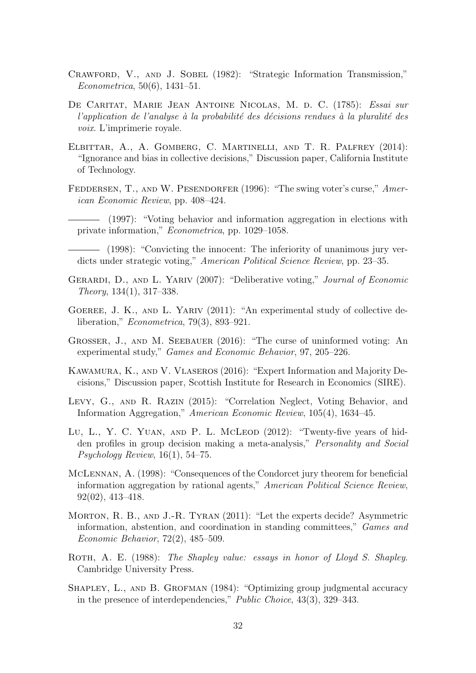- Crawford, V., and J. Sobel (1982): "Strategic Information Transmission," Econometrica, 50(6), 1431–51.
- De Caritat, Marie Jean Antoine Nicolas, M. d. C. (1785): Essai sur l'application de l'analyse à la probabilité des décisions rendues à la pluralité des voix. L'imprimerie royale.
- Elbittar, A., A. Gomberg, C. Martinelli, and T. R. Palfrey (2014): "Ignorance and bias in collective decisions," Discussion paper, California Institute of Technology.
- FEDDERSEN, T., AND W. PESENDORFER (1996): "The swing voter's curse," American Economic Review, pp. 408–424.
	- (1997): "Voting behavior and information aggregation in elections with private information," Econometrica, pp. 1029–1058.
	- (1998): "Convicting the innocent: The inferiority of unanimous jury verdicts under strategic voting," American Political Science Review, pp. 23–35.
- GERARDI, D., AND L. YARIV (2007): "Deliberative voting," Journal of Economic Theory, 134(1), 317–338.
- GOEREE, J. K., AND L. YARIV (2011): "An experimental study of collective deliberation," Econometrica, 79(3), 893–921.
- GROSSER, J., AND M. SEEBAUER (2016): "The curse of uninformed voting: An experimental study," Games and Economic Behavior, 97, 205–226.
- Kawamura, K., and V. Vlaseros (2016): "Expert Information and Majority Decisions," Discussion paper, Scottish Institute for Research in Economics (SIRE).
- Levy, G., and R. Razin (2015): "Correlation Neglect, Voting Behavior, and Information Aggregation," American Economic Review, 105(4), 1634–45.
- Lu, L., Y. C. YUAN, AND P. L. McLEOD (2012): "Twenty-five years of hidden profiles in group decision making a meta-analysis," Personality and Social Psychology Review, 16(1), 54–75.
- McLennan, A. (1998): "Consequences of the Condorcet jury theorem for beneficial information aggregation by rational agents," American Political Science Review, 92(02), 413–418.
- Morton, R. B., and J.-R. Tyran (2011): "Let the experts decide? Asymmetric information, abstention, and coordination in standing committees," Games and Economic Behavior, 72(2), 485–509.
- ROTH, A. E. (1988): The Shapley value: essays in honor of Lloyd S. Shapley. Cambridge University Press.
- SHAPLEY, L., AND B. GROFMAN (1984): "Optimizing group judgmental accuracy in the presence of interdependencies," Public Choice, 43(3), 329–343.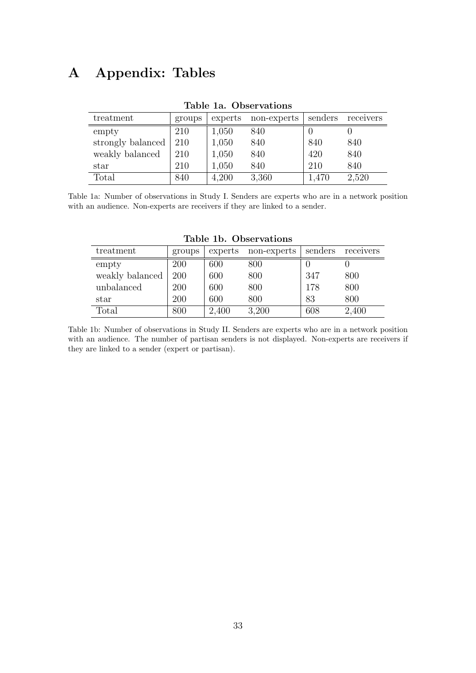# A Appendix: Tables

| treatment         | groups | experts | non-experts | senders | receivers |  |  |  |
|-------------------|--------|---------|-------------|---------|-----------|--|--|--|
| empty             | 210    | 1,050   | 840         |         |           |  |  |  |
| strongly balanced | 210    | 1,050   | 840         | 840     | 840       |  |  |  |
| weakly balanced   | 210    | 1,050   | 840         | 420     | 840       |  |  |  |
| star              | 210    | 1,050   | 840         | 210     | 840       |  |  |  |
| Total             | 840    | 4,200   | 3,360       | 1.470   | 2,520     |  |  |  |

#### Table 1a. Observations

Table 1a: Number of observations in Study I. Senders are experts who are in a network position with an audience. Non-experts are receivers if they are linked to a sender.

| treatment       | groups | experts | non-experts | senders | receivers |
|-----------------|--------|---------|-------------|---------|-----------|
| empty           | 200    | 600     | 800         |         |           |
| weakly balanced | 200    | 600     | 800         | 347     | 800       |
| unbalanced      | 200    | 600     | 800         | 178     | 800       |
| star            | 200    | 600     | 800         | 83      | 800       |
| $\text{Total}$  | 800    | 2,400   | 3,200       | 608     | 2,400     |

Table 1b. Observations

Table 1b: Number of observations in Study II. Senders are experts who are in a network position with an audience. The number of partisan senders is not displayed. Non-experts are receivers if they are linked to a sender (expert or partisan).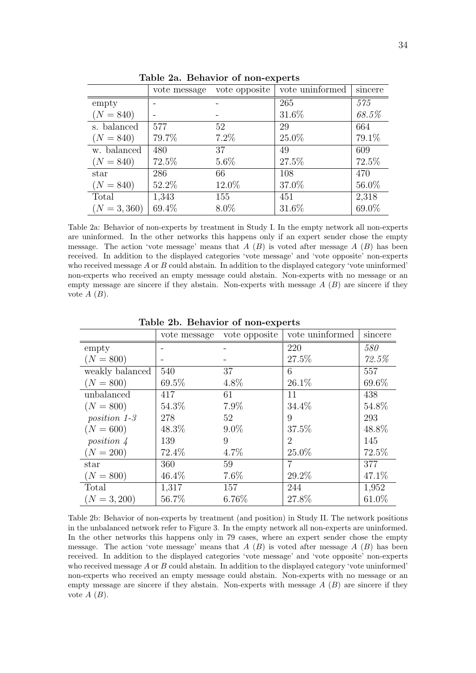|                | vote message | vote opposite | vote uninformed | sincere |
|----------------|--------------|---------------|-----------------|---------|
| empty          |              |               | 265             | 575     |
| $(N = 840)$    |              |               | 31.6%           | 68.5%   |
| s. balanced    | 577          | 52            | 29              | 664     |
| $(N = 840)$    | 79.7%        | $7.2\%$       | 25.0%           | 79.1%   |
| w. balanced    | 480          | 37            | 49              | 609     |
| $(N = 840)$    | 72.5%        | $5.6\%$       | 27.5%           | 72.5%   |
| star           | 286          | 66            | 108             | 470     |
| $(N = 840)$    | 52.2%        | 12.0%         | 37.0%           | 56.0%   |
| Total          | 1,343        | 155           | 451             | 2,318   |
| $(N = 3, 360)$ | 69.4%        | 8.0%          | 31.6%           | 69.0%   |

Table 2a. Behavior of non-experts

Table 2a: Behavior of non-experts by treatment in Study I. In the empty network all non-experts are uninformed. In the other networks this happens only if an expert sender chose the empty message. The action 'vote message' means that  $A(B)$  is voted after message  $A(B)$  has been received. In addition to the displayed categories 'vote message' and 'vote opposite' non-experts who received message  $A$  or  $B$  could abstain. In addition to the displayed category 'vote uninformed' non-experts who received an empty message could abstain. Non-experts with no message or an empty message are sincere if they abstain. Non-experts with message  $A(B)$  are sincere if they vote  $A(B)$ .

|                 | vote message | vote opposite | vote uninformed | sincere |
|-----------------|--------------|---------------|-----------------|---------|
| empty           |              |               | 220             | 580     |
| $(N = 800)$     |              |               | 27.5%           | 72.5%   |
| weakly balanced | 540          | 37            | 6               | 557     |
| $(N = 800)$     | 69.5%        | 4.8%          | 26.1%           | 69.6%   |
| unbalanced      | 417          | 61            | 11              | 438     |
| $(N = 800)$     | 54.3%        | 7.9%          | 34.4%           | 54.8%   |
| position $1-3$  | 278          | $52^{\circ}$  | 9               | 293     |
| $(N = 600)$     | 48.3%        | $9.0\%$       | 37.5%           | 48.8%   |
| position 4      | 139          | 9             | $\overline{2}$  | 145     |
| $(N = 200)$     | 72.4%        | $4.7\%$       | $25.0\%$        | 72.5%   |
| star            | 360          | 59            | 7               | 377     |
| $(N = 800)$     | 46.4%        | 7.6%          | 29.2%           | 47.1%   |
| Total           | 1,317        | 157           | 244             | 1,952   |
| $(N = 3, 200)$  | 56.7%        | 6.76%         | 27.8%           | 61.0%   |

Table 2b. Behavior of non-experts

Table 2b: Behavior of non-experts by treatment (and position) in Study II. The network positions in the unbalanced network refer to Figure 3. In the empty network all non-experts are uninformed. In the other networks this happens only in 79 cases, where an expert sender chose the empty message. The action 'vote message' means that  $A(B)$  is voted after message  $A(B)$  has been received. In addition to the displayed categories 'vote message' and 'vote opposite' non-experts who received message A or B could abstain. In addition to the displayed category 'vote uninformed' non-experts who received an empty message could abstain. Non-experts with no message or an empty message are sincere if they abstain. Non-experts with message  $A(B)$  are sincere if they vote  $A(B)$ .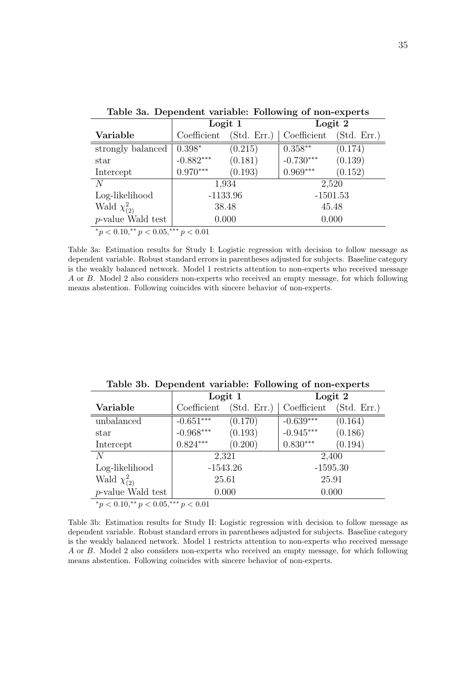| Table 3a. Dependent variable. Following of hon-experts |                                           |             |             |             |  |  |  |
|--------------------------------------------------------|-------------------------------------------|-------------|-------------|-------------|--|--|--|
|                                                        | Logit 1                                   |             | Logit 2     |             |  |  |  |
| Variable                                               | Coefficient                               | (Std. Err.) | Coefficient | (Std. Err.) |  |  |  |
| strongly balanced                                      | $0.398*$                                  | (0.215)     | $0.358**$   | (0.174)     |  |  |  |
| star                                                   | $-0.882***$                               | (0.181)     | $-0.730***$ | (0.139)     |  |  |  |
| Intercept                                              | $0.970***$                                | (0.193)     | $0.969***$  | (0.152)     |  |  |  |
| N                                                      |                                           | 1,934       | 2,520       |             |  |  |  |
| Log-likelihood                                         |                                           | $-1133.96$  | $-1501.53$  |             |  |  |  |
| Wald $\chi^2_{(2)}$                                    | 38.48                                     |             | 45.48       |             |  |  |  |
| <i>p</i> -value Wald test                              | 0.000                                     |             | 0.000       |             |  |  |  |
|                                                        | $*_p$ < 0.10,** $p$ < 0.05,*** $p$ < 0.01 |             |             |             |  |  |  |

Table 3a. Dependent variable: Following of non-experts

Table 3a: Estimation results for Study I: Logistic regression with decision to follow message as dependent variable. Robust standard errors in parentheses adjusted for subjects. Baseline category is the weakly balanced network. Model 1 restricts attention to non-experts who received message A or B. Model 2 also considers non-experts who received an empty message, for which following means abstention. Following coincides with sincere behavior of non-experts.

|                                                | . .         |             |             |             |
|------------------------------------------------|-------------|-------------|-------------|-------------|
|                                                |             | Logit 1     | Logit 2     |             |
| Variable                                       | Coefficient | (Std. Err.) | Coefficient | (Std. Err.) |
| unbalanced                                     | $-0.651***$ | (0.170)     | $-0.639***$ | (0.164)     |
| star                                           | $-0.968***$ | (0.193)     | $-0.945***$ | (0.186)     |
| Intercept                                      | $0.824***$  | (0.200)     | $0.830***$  | (0.194)     |
| N                                              |             | 2,321       | 2,400       |             |
| Log-likelihood                                 |             | $-1543.26$  | $-1595.30$  |             |
| Wald $\chi^2_{(2)}$                            | 25.61       |             | 25.91       |             |
| <i>p</i> -value Wald test                      |             | 0.000       | 0.000       |             |
| *n $\lt$ 0.10 ** n $\lt$ 0.05 *** n $\lt$ 0.01 |             |             |             |             |

Table 3b. Dependent variable: Following of non-experts

 ${}^*p$  < 0.10, ${}^*p$  < 0.05, ${}^*{}^*p$  < 0.01

Table 3b: Estimation results for Study II: Logistic regression with decision to follow message as dependent variable. Robust standard errors in parentheses adjusted for subjects. Baseline category is the weakly balanced network. Model 1 restricts attention to non-experts who received message A or B. Model 2 also considers non-experts who received an empty message, for which following means abstention. Following coincides with sincere behavior of non-experts.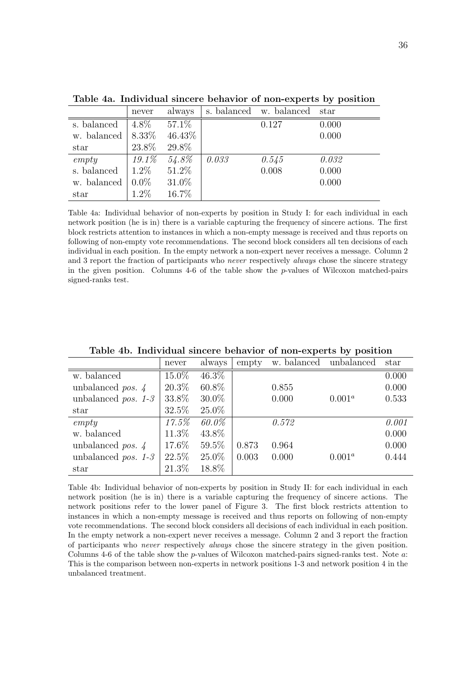|             | never    | always   |       | s. balanced w. balanced | star  |
|-------------|----------|----------|-------|-------------------------|-------|
| s. balanced | $4.8\%$  | 57.1\%   |       | 0.127                   | 0.000 |
| w. balanced | 8.33%    | 46.43%   |       |                         | 0.000 |
| star        | 23.8%    | 29.8%    |       |                         |       |
| empty       | $19.1\%$ | 54.8%    | 0.033 | 0.545                   | 0.032 |
| s. balanced | $1.2\%$  | 51.2%    |       | 0.008                   | 0.000 |
| w. balanced | $0.0\%$  | $31.0\%$ |       |                         | 0.000 |
| star        | 1.2%     | 16.7%    |       |                         |       |

Table 4a. Individual sincere behavior of non-experts by position

Table 4a: Individual behavior of non-experts by position in Study I: for each individual in each network position (he is in) there is a variable capturing the frequency of sincere actions. The first block restricts attention to instances in which a non-empty message is received and thus reports on following of non-empty vote recommendations. The second block considers all ten decisions of each individual in each position. In the empty network a non-expert never receives a message. Column 2 and 3 report the fraction of participants who *never* respectively *always* chose the sincere strategy in the given position. Columns  $4-6$  of the table show the p-values of Wilcoxon matched-pairs signed-ranks test.

|                                 | never | always   | empty | w. balanced | unbalanced | star  |
|---------------------------------|-------|----------|-------|-------------|------------|-------|
| w. balanced                     | 15.0% | $46.3\%$ |       |             |            | 0.000 |
| unbalanced <i>pos.</i> $\angle$ | 20.3% | 60.8%    |       | 0.855       |            | 0.000 |
| unbalanced <i>pos.</i> $1-3$    | 33.8% | $30.0\%$ |       | 0.000       | $0.001^a$  | 0.533 |
| star                            | 32.5% | 25.0%    |       |             |            |       |
| empty                           | 17.5% | 60.0%    |       | 0.572       |            | 0.001 |
| w. balanced                     | 11.3% | 43.8%    |       |             |            | 0.000 |
| unbalanced <i>pos.</i> $\angle$ | 17.6% | 59.5%    | 0.873 | 0.964       |            | 0.000 |
| unbalanced <i>pos.</i> $1-3$    | 22.5% | 25.0%    | 0.003 | 0.000       | $0.001^a$  | 0.444 |
| star                            | 21.3% | 18.8%    |       |             |            |       |

Table 4b. Individual sincere behavior of non-experts by position

Table 4b: Individual behavior of non-experts by position in Study II: for each individual in each network position (he is in) there is a variable capturing the frequency of sincere actions. The network positions refer to the lower panel of Figure 3. The first block restricts attention to instances in which a non-empty message is received and thus reports on following of non-empty vote recommendations. The second block considers all decisions of each individual in each position. In the empty network a non-expert never receives a message. Column 2 and 3 report the fraction of participants who never respectively always chose the sincere strategy in the given position. Columns 4-6 of the table show the p-values of Wilcoxon matched-pairs signed-ranks test. Note a: This is the comparison between non-experts in network positions 1-3 and network position 4 in the unbalanced treatment.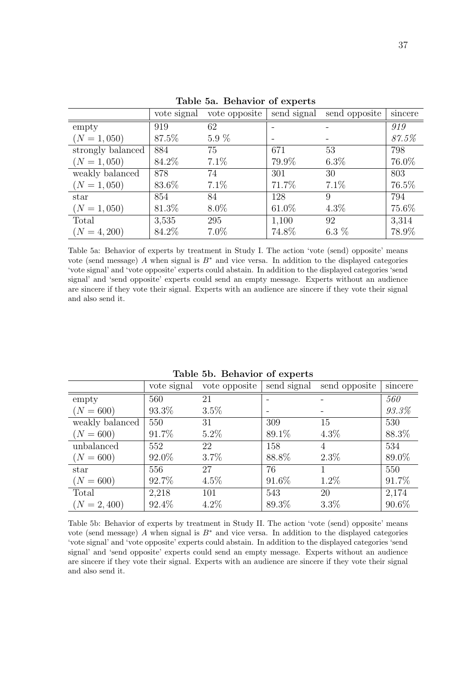|                   | vote signal | vote opposite |       | send signal send opposite | sincere |
|-------------------|-------------|---------------|-------|---------------------------|---------|
| empty             | 919         | 62            |       |                           | 919     |
| $(N = 1,050)$     | 87.5%       | $5.9\%$       |       |                           | 87.5%   |
| strongly balanced | 884         | 75            | 671   | 53                        | 798     |
| $(N = 1,050)$     | 84.2%       | 7.1%          | 79.9% | $6.3\%$                   | 76.0%   |
| weakly balanced   | 878         | 74            | 301   | 30                        | 803     |
| $(N = 1,050)$     | 83.6%       | 7.1%          | 71.7% | $7.1\%$                   | 76.5%   |
| star              | 854         | 84            | 128   | 9                         | 794     |
| $(N = 1,050)$     | 81.3%       | $8.0\%$       | 61.0% | $4.3\%$                   | 75.6%   |
| Total             | 3,535       | 295           | 1,100 | 92                        | 3,314   |
| $(N = 4, 200)$    | 84.2%       | $7.0\%$       | 74.8% | 6.3 $%$                   | 78.9%   |

Table 5a. Behavior of experts

Table 5a: Behavior of experts by treatment in Study I. The action 'vote (send) opposite' means vote (send message) A when signal is  $B^*$  and vice versa. In addition to the displayed categories 'vote signal' and 'vote opposite' experts could abstain. In addition to the displayed categories 'send signal' and 'send opposite' experts could send an empty message. Experts without an audience are sincere if they vote their signal. Experts with an audience are sincere if they vote their signal and also send it.

|                 | vote signal | vote opposite | send signal | send opposite | sincere  |
|-----------------|-------------|---------------|-------------|---------------|----------|
| empty           | 560         | 21            |             |               | 560      |
| $(N = 600)$     | 93.3%       | $3.5\%$       |             |               | 93.3%    |
| weakly balanced | 550         | 31            | 309         | 15            | 530      |
| $(N = 600)$     | 91.7%       | $5.2\%$       | 89.1%       | $4.3\%$       | 88.3%    |
| unbalanced      | 552         | 22            | 158         | 4             | 534      |
| $(N = 600)$     | 92.0%       | 3.7%          | 88.8%       | $2.3\%$       | 89.0%    |
| star            | 556         | 27            | 76          |               | 550      |
| $(N = 600)$     | 92.7%       | $4.5\%$       | 91.6%       | $1.2\%$       | 91.7%    |
| Total           | 2,218       | 101           | 543         | 20            | 2,174    |
| $(N = 2, 400)$  | 92.4%       | $4.2\%$       | 89.3%       | $3.3\%$       | $90.6\%$ |

Table 5b. Behavior of experts

Table 5b: Behavior of experts by treatment in Study II. The action 'vote (send) opposite' means vote (send message) A when signal is  $B^*$  and vice versa. In addition to the displayed categories 'vote signal' and 'vote opposite' experts could abstain. In addition to the displayed categories 'send signal' and 'send opposite' experts could send an empty message. Experts without an audience are sincere if they vote their signal. Experts with an audience are sincere if they vote their signal and also send it.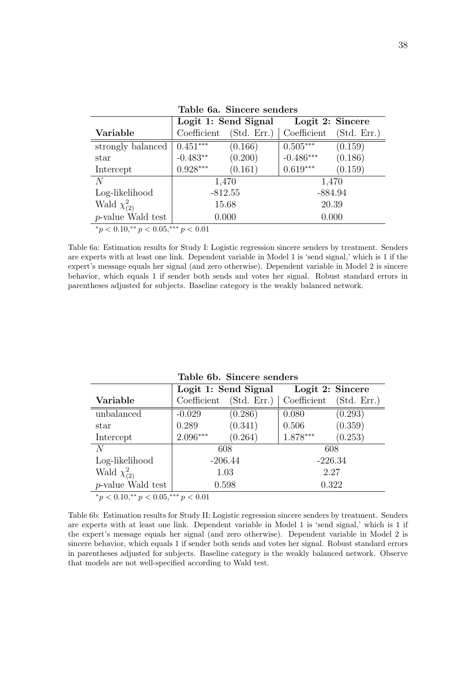|                                           |             | Logit 1: Send Signal | Logit 2: Sincere |             |  |  |
|-------------------------------------------|-------------|----------------------|------------------|-------------|--|--|
| Variable                                  | Coefficient | (Std. Err.)          | Coefficient      | (Std. Err.) |  |  |
| strongly balanced                         | $0.451***$  | (0.166)              | $0.505***$       | (0.159)     |  |  |
| star                                      | $-0.483**$  | (0.200)              | $-0.486***$      | (0.186)     |  |  |
| Intercept                                 | $0.928***$  | (0.161)              | $0.619***$       | (0.159)     |  |  |
| N                                         |             | 1,470                | 1,470            |             |  |  |
| Log-likelihood                            |             | $-812.55$            | $-884.94$        |             |  |  |
| Wald $\chi^2_{(2)}$                       | 15.68       |                      | 20.39            |             |  |  |
| <i>p</i> -value Wald test                 | 0.000       |                      | 0.000            |             |  |  |
| $*_p$ < 0.10,** $p$ < 0.05,*** $p$ < 0.01 |             |                      |                  |             |  |  |

Table 6a. Sincere senders

Table 6a: Estimation results for Study I: Logistic regression sincere senders by treatment. Senders are experts with at least one link. Dependent variable in Model 1 is 'send signal,' which is 1 if the expert's message equals her signal (and zero otherwise). Dependent variable in Model 2 is sincere behavior, which equals 1 if sender both sends and votes her signal. Robust standard errors in parentheses adjusted for subjects. Baseline category is the weakly balanced network.

|                                           |             | Logit 1: Send Signal | Logit 2: Sincere |             |  |  |
|-------------------------------------------|-------------|----------------------|------------------|-------------|--|--|
| Variable                                  | Coefficient | (Std. Err.)          | Coefficient      | (Std. Err.) |  |  |
| unbalanced                                | $-0.029$    | (0.286)              | 0.080            | (0.293)     |  |  |
| star                                      | 0.289       | (0.341)              | 0.506            | (0.359)     |  |  |
| Intercept                                 | $2.096***$  | (0.264)              | 1.878***         | (0.253)     |  |  |
| N                                         |             | 608                  | 608              |             |  |  |
| Log-likelihood                            |             | $-206.44$            | $-226.34$        |             |  |  |
| Wald $\chi^2_{(2)}$                       | 1.03        |                      | 2.27             |             |  |  |
| $p$ -value Wald test                      | 0.598       |                      | 0.322            |             |  |  |
| $*_p$ < 0.10,** $p$ < 0.05,*** $p$ < 0.01 |             |                      |                  |             |  |  |

Table 6b. Sincere senders

Table 6b: Estimation results for Study II: Logistic regression sincere senders by treatment. Senders are experts with at least one link. Dependent variable in Model 1 is 'send signal,' which is 1 if the expert's message equals her signal (and zero otherwise). Dependent variable in Model 2 is sincere behavior, which equals 1 if sender both sends and votes her signal. Robust standard errors in parentheses adjusted for subjects. Baseline category is the weakly balanced network. Observe that models are not well-specified according to Wald test.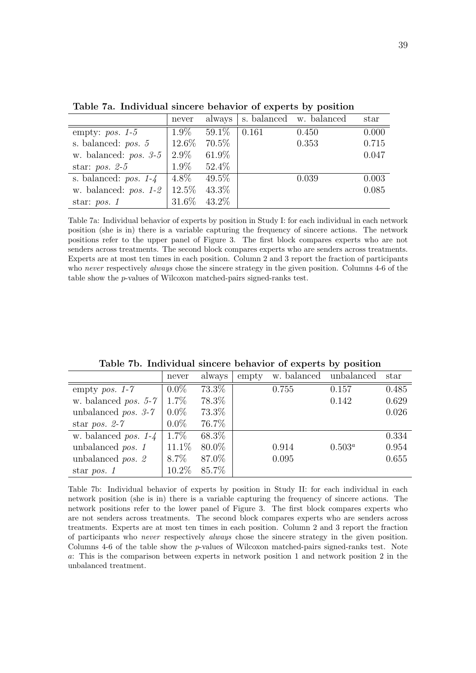|                         | never   | always   |       | s. balanced w. balanced | star  |
|-------------------------|---------|----------|-------|-------------------------|-------|
| empty: $pos. 1-5$       | $1.9\%$ | $59.1\%$ | 0.161 | 0.450                   | 0.000 |
| s. balanced: $pos. 5$   | 12.6\%  | 70.5%    |       | 0.353                   | 0.715 |
| w. balanced: $pos. 3-5$ | $2.9\%$ | 61.9%    |       |                         | 0.047 |
| star: $pos. 2-5$        | $1.9\%$ | 52.4%    |       |                         |       |
| s. balanced: $pos. 1-4$ | $4.8\%$ | $49.5\%$ |       | 0.039                   | 0.003 |
| w. balanced: $pos. 1-2$ | 12.5%   | 43.3%    |       |                         | 0.085 |
| star: $pos. 1$          | 31.6%   | 43.2%    |       |                         |       |

Table 7a. Individual sincere behavior of experts by position

Table 7a: Individual behavior of experts by position in Study I: for each individual in each network position (she is in) there is a variable capturing the frequency of sincere actions. The network positions refer to the upper panel of Figure 3. The first block compares experts who are not senders across treatments. The second block compares experts who are senders across treatments. Experts are at most ten times in each position. Column 2 and 3 report the fraction of participants who never respectively *always* chose the sincere strategy in the given position. Columns 4-6 of the table show the p-values of Wilcoxon matched-pairs signed-ranks test.

|                               | never   | always | empty | w. balanced | unbalanced | star  |
|-------------------------------|---------|--------|-------|-------------|------------|-------|
| empty <i>pos.</i> $1-7$       | $0.0\%$ | 73.3%  |       | 0.755       | 0.157      | 0.485 |
| w. balanced <i>pos.</i> $5-7$ | 1.7%    | 78.3%  |       |             | 0.142      | 0.629 |
| unbalanced pos. $3-7$         | $0.0\%$ | 73.3%  |       |             |            | 0.026 |
| star pos. $2-7$               | $0.0\%$ | 76.7%  |       |             |            |       |
| w. balanced <i>pos.</i> $1-4$ | 1.7%    | 68.3%  |       |             |            | 0.334 |
| unbalanced pos. 1             | 11.1%   | 80.0%  |       | 0.914       | $0.503^a$  | 0.954 |
| unbalanced pos. 2             | $8.7\%$ | 87.0%  |       | 0.095       |            | 0.655 |
| star pos. $1$                 | 10.2%   | 85.7%  |       |             |            |       |

Table 7b. Individual sincere behavior of experts by position

Table 7b: Individual behavior of experts by position in Study II: for each individual in each network position (she is in) there is a variable capturing the frequency of sincere actions. The network positions refer to the lower panel of Figure 3. The first block compares experts who are not senders across treatments. The second block compares experts who are senders across treatments. Experts are at most ten times in each position. Column 2 and 3 report the fraction of participants who never respectively always chose the sincere strategy in the given position. Columns 4-6 of the table show the p-values of Wilcoxon matched-pairs signed-ranks test. Note a: This is the comparison between experts in network position 1 and network position 2 in the unbalanced treatment.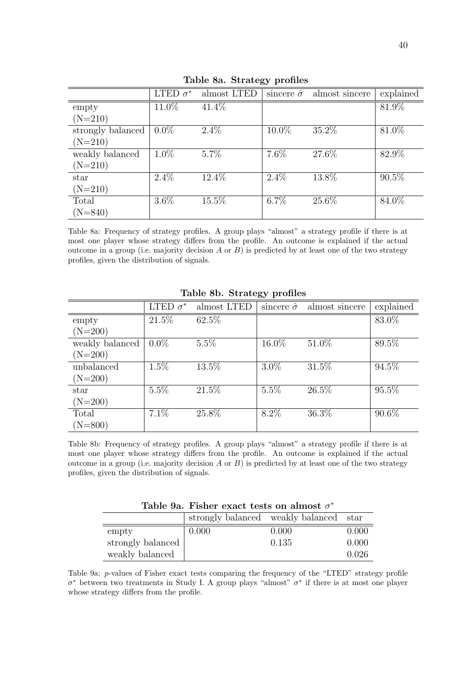| LTED $\sigma^*$ | almost LTED |         |       | explained                             |
|-----------------|-------------|---------|-------|---------------------------------------|
| $11.0\%$        | 41.4%       |         |       | 81.9%                                 |
|                 |             |         |       |                                       |
| $0.0\%$         | $2.4\%$     | 10.0%   | 35.2% | 81.0%                                 |
|                 |             |         |       |                                       |
| $1.0\%$         | $5.7\%$     | $7.6\%$ | 27.6% | 82.9%                                 |
|                 |             |         |       |                                       |
| $2.4\%$         | 12.4%       | $2.4\%$ | 13.8% | $90.5\%$                              |
|                 |             |         |       |                                       |
| $3.6\%$         | 15.5%       | $6.7\%$ | 25.6% | 84.0%                                 |
|                 |             |         |       |                                       |
|                 |             |         |       | sincere $\hat{\sigma}$ almost sincere |

Table 8a. Strategy profiles

Table 8a: Frequency of strategy profiles. A group plays "almost" a strategy profile if there is at most one player whose strategy differs from the profile. An outcome is explained if the actual outcome in a group (i.e. majority decision A or  $B$ ) is predicted by at least one of the two strategy profiles, given the distribution of signals.

|                 | LTED $\sigma^*$ | almost LTED | sincere $\hat{\sigma}$ | almost sincere | explained |
|-----------------|-----------------|-------------|------------------------|----------------|-----------|
| empty           | 21.5%           | 62.5%       |                        |                | 83.0%     |
| $(N=200)$       |                 |             |                        |                |           |
| weakly balanced | $0.0\%$         | $5.5\%$     | 16.0%                  | 51.0%          | 89.5%     |
| $(N=200)$       |                 |             |                        |                |           |
| unbalanced      | $1.5\%$         | $13.5\%$    | $3.0\%$                | 31.5%          | 94.5%     |
| $(N=200)$       |                 |             |                        |                |           |
| star            | 5.5%            | 21.5%       | 5.5%                   | $26.5\%$       | 95.5%     |
| $(N=200)$       |                 |             |                        |                |           |
| Total           | $7.1\%$         | 25.8%       | $8.2\%$                | 36.3%          | 90.6%     |
| $(N=800)$       |                 |             |                        |                |           |

Table 8b. Strategy profiles

Table 8b: Frequency of strategy profiles. A group plays "almost" a strategy profile if there is at most one player whose strategy differs from the profile. An outcome is explained if the actual outcome in a group (i.e. majority decision  $A$  or  $B$ ) is predicted by at least one of the two strategy profiles, given the distribution of signals.

Table 9a. Fisher exact tests on almost  $\sigma^*$ 

|                   | strongly balanced weakly balanced star |       |       |
|-------------------|----------------------------------------|-------|-------|
| empty             | 0.000                                  | 0.000 | 0.000 |
| strongly balanced |                                        | 0.135 | 0.000 |
| weakly balanced   |                                        |       | 0.026 |

Table 9a: p-values of Fisher exact tests comparing the frequency of the "LTED" strategy profile  $\sigma^*$  between two treatments in Study I. A group plays "almost"  $\sigma^*$  if there is at most one player whose strategy differs from the profile.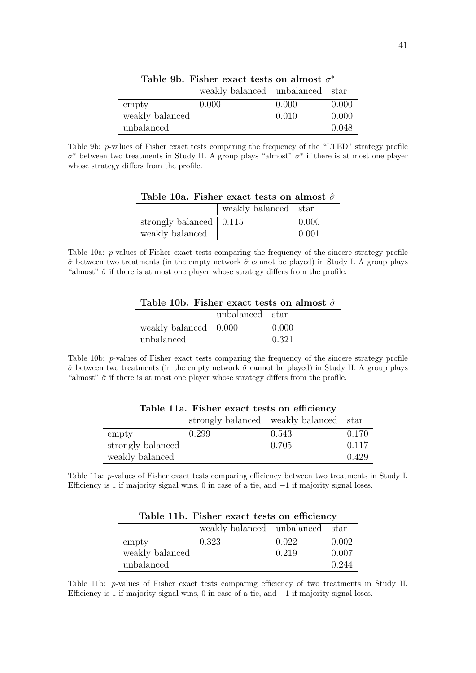|                 | weakly balanced unbalanced star |       |       |
|-----------------|---------------------------------|-------|-------|
| empty           | 0.000                           | 0.000 | 0.000 |
| weakly balanced |                                 | 0.010 | 0.000 |
| unbalanced      |                                 |       | 0.048 |

Table 9b. Fisher exact tests on almost  $\sigma^*$ 

Table 9b: p-values of Fisher exact tests comparing the frequency of the "LTED" strategy profile  $σ^*$  between two treatments in Study II. A group plays "almost"  $σ^*$  if there is at most one player whose strategy differs from the profile.

Table 10a. Fisher exact tests on almost  $\hat{\sigma}$ 

|                                 | weakly balanced star |       |
|---------------------------------|----------------------|-------|
| strongly balanced $\vert$ 0.115 |                      | 0.000 |
| weakly balanced                 |                      | 0.001 |

Table 10a: p-values of Fisher exact tests comparing the frequency of the sincere strategy profile  $\hat{\sigma}$  between two treatments (in the empty network  $\hat{\sigma}$  cannot be played) in Study I. A group plays "almost"  $\hat{\sigma}$  if there is at most one player whose strategy differs from the profile.

|                                     | unbalanced star |       |
|-------------------------------------|-----------------|-------|
| weakly balanced $\vert 0.000 \vert$ |                 | 0.000 |
| unbalanced                          |                 | 0.321 |

Table 10b. Fisher exact tests on almost  $\hat{\sigma}$ 

Table 10b: p-values of Fisher exact tests comparing the frequency of the sincere strategy profile  $\hat{\sigma}$  between two treatments (in the empty network  $\hat{\sigma}$  cannot be played) in Study II. A group plays "almost"  $\hat{\sigma}$  if there is at most one player whose strategy differs from the profile.

|                   | strongly balanced weakly balanced star |       |       |
|-------------------|----------------------------------------|-------|-------|
| empty             | 0.299                                  | 0.543 | 0.170 |
| strongly balanced |                                        | 0.705 | 0.117 |
| weakly balanced   |                                        |       | 0.429 |

Table 11a. Fisher exact tests on efficiency

Table 11a: p-values of Fisher exact tests comparing efficiency between two treatments in Study I. Efficiency is 1 if majority signal wins, 0 in case of a tie, and  $-1$  if majority signal loses.

|                 | weakly balanced unbalanced star |       |       |
|-----------------|---------------------------------|-------|-------|
| empty           | 0.323                           | 0.022 | 0.002 |
| weakly balanced |                                 | 0.219 | 0.007 |
| unbalanced      |                                 |       | 0.244 |

Table 11b. Fisher exact tests on efficiency

Table 11b: p-values of Fisher exact tests comparing efficiency of two treatments in Study II. Efficiency is 1 if majority signal wins, 0 in case of a tie, and  $-1$  if majority signal loses.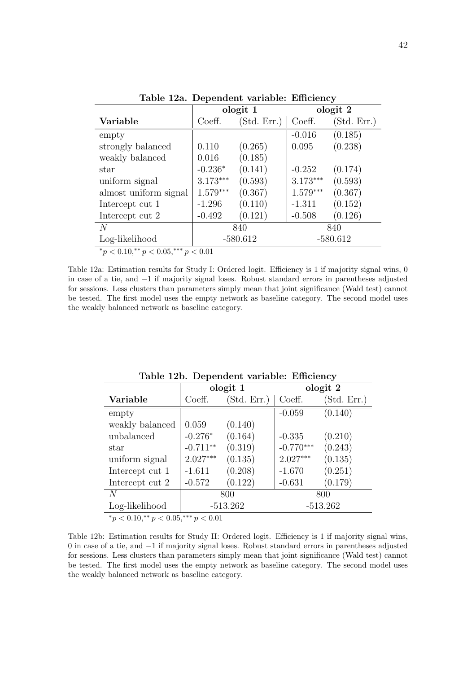|                                                   |            | ologit 1    |            | ologit 2    |
|---------------------------------------------------|------------|-------------|------------|-------------|
| Variable                                          | Coeff.     | (Std. Err.) | Coeff.     | (Std. Err.) |
| empty                                             |            |             | $-0.016$   | (0.185)     |
| strongly balanced                                 | 0.110      | (0.265)     | 0.095      | (0.238)     |
| weakly balanced                                   | 0.016      | (0.185)     |            |             |
| star                                              | $-0.236*$  | (0.141)     | $-0.252$   | (0.174)     |
| uniform signal                                    | $3.173***$ | (0.593)     | $3.173***$ | (0.593)     |
| almost uniform signal                             | $1.579***$ | (0.367)     | $1.579***$ | (0.367)     |
| Intercept cut 1                                   | $-1.296$   | (0.110)     | $-1.311$   | (0.152)     |
| Intercept cut 2                                   | $-0.492$   | (0.121)     | $-0.508$   | (0.126)     |
| N                                                 | 840        |             |            | 840         |
| Log-likelihood                                    | $-580.612$ |             |            | $-580.612$  |
| $*$ $\sim$ 0.10 $**$ $\sim$ 0.0 $***$ $\sim$ 0.01 |            |             |            |             |

Table 12a. Dependent variable: Efficiency

 ${}^*p$  < 0.10, ${}^*p$  < 0.05, ${}^*{}^*p$  < 0.01

Table 12a: Estimation results for Study I: Ordered logit. Efficiency is 1 if majority signal wins, 0 in case of a tie, and −1 if majority signal loses. Robust standard errors in parentheses adjusted for sessions. Less clusters than parameters simply mean that joint significance (Wald test) cannot be tested. The first model uses the empty network as baseline category. The second model uses the weakly balanced network as baseline category.

|                                                                                                                                                  |            | ologit 1    |             | ologit 2    |
|--------------------------------------------------------------------------------------------------------------------------------------------------|------------|-------------|-------------|-------------|
| Variable                                                                                                                                         | Coeff.     | (Std. Err.) | Coeff.      | (Std. Err.) |
| empty                                                                                                                                            |            |             | $-0.059$    | (0.140)     |
| weakly balanced                                                                                                                                  | 0.059      | (0.140)     |             |             |
| unbalanced                                                                                                                                       | $-0.276*$  | (0.164)     | $-0.335$    | (0.210)     |
| star                                                                                                                                             | $-0.711**$ | (0.319)     | $-0.770***$ | (0.243)     |
| uniform signal                                                                                                                                   | $2.027***$ | (0.135)     | $2.027***$  | (0.135)     |
| Intercept cut 1                                                                                                                                  | $-1.611$   | (0.208)     | $-1.670$    | (0.251)     |
| Intercept cut 2                                                                                                                                  | $-0.572$   | (0.122)     | $-0.631$    | (0.179)     |
| N                                                                                                                                                | 800        |             | 800         |             |
| Log-likelihood                                                                                                                                   | $-513.262$ |             | $-513.262$  |             |
| about the company of the standard company of the state of the state of the state of the state of the state of<br>والمنادمات المستحرمات المتحرمات |            |             |             |             |

Table 12b. Dependent variable: Efficiency

 ${}^*p < 0.10, {}^{**}p < 0.05, {}^{***}p < 0.01$ 

Table 12b: Estimation results for Study II: Ordered logit. Efficiency is 1 if majority signal wins, 0 in case of a tie, and −1 if majority signal loses. Robust standard errors in parentheses adjusted for sessions. Less clusters than parameters simply mean that joint significance (Wald test) cannot be tested. The first model uses the empty network as baseline category. The second model uses the weakly balanced network as baseline category.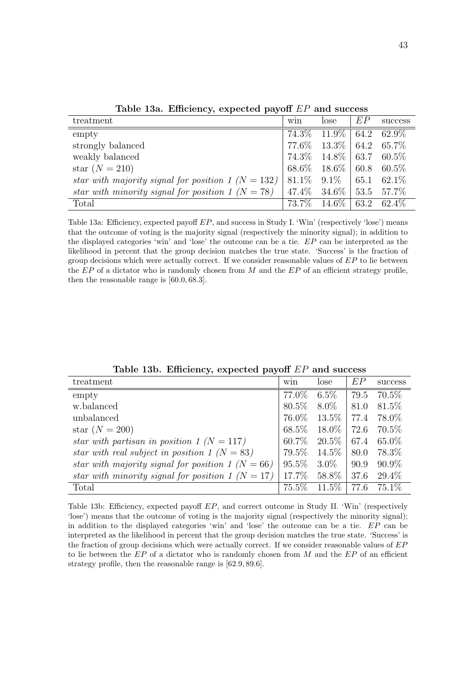| treatment                                              | win   | lose                            | EP | success     |
|--------------------------------------------------------|-------|---------------------------------|----|-------------|
| empty                                                  | 74.3% | $11.9\%$ 64.2 62.9\%            |    |             |
| strongly balanced                                      |       | $77.6\%$ 13.3\% 64.2 65.7\%     |    |             |
| weakly balanced                                        |       | $74.3\%$ 14.8\% 63.7 60.5\%     |    |             |
| star $(N = 210)$                                       |       | $68.6\%$ $18.6\%$   60.8 60.5\% |    |             |
| star with majority signal for position 1 ( $N = 132$ ) |       | $81.1\%$ $9.1\%$   65.1 62.1\%  |    |             |
| star with minority signal for position 1 $(N = 78)$    |       | $47.4\%$ $34.6\%$   53.5 57.7\% |    |             |
| Total                                                  |       | $73.7\%$ 14.6\%                 |    | 63.2 62.4\% |

Table 13a. Efficiency, expected payoff EP and success

Table 13a: Efficiency, expected payoff  $EP$ , and success in Study I. 'Win' (respectively 'lose') means that the outcome of voting is the majority signal (respectively the minority signal); in addition to the displayed categories 'win' and 'lose' the outcome can be a tie. EP can be interpreted as the likelihood in percent that the group decision matches the true state. 'Success' is the fraction of group decisions which were actually correct. If we consider reasonable values of  $EP$  to lie between the  $EP$  of a dictator who is randomly chosen from M and the  $EP$  of an efficient strategy profile, then the reasonable range is [60.0, 68.3].

Table 13b. Efficiency, expected payoff EP and success

| treatment                                             | win      | lose     | EP   | success  |
|-------------------------------------------------------|----------|----------|------|----------|
| empty                                                 | 77.0%    | $6.5\%$  | 79.5 | 70.5%    |
| w.balanced                                            | 80.5%    | $8.0\%$  | 81.0 | 81.5\%   |
| unbalanced                                            | 76.0%    | $13.5\%$ | 77.4 | 78.0%    |
| star $(N = 200)$                                      | 68.5%    | 18.0%    | 72.6 | 70.5\%   |
| star with partisan in position 1 $(N = 117)$          | $60.7\%$ | $20.5\%$ | 67.4 | $65.0\%$ |
| star with real subject in position 1 ( $N = 83$ )     | 79.5%    | 14.5%    | 80.0 | 78.3%    |
| star with majority signal for position 1 ( $N = 66$ ) | 95.5%    | $3.0\%$  | 90.9 | $90.9\%$ |
| star with minority signal for position 1 $(N = 17)$   | 17.7%    | 58.8%    | 37.6 | 29.4\%   |
| Total                                                 | 75.5%    | 11.5%    | 77.6 | 75.1\%   |

Table 13b: Efficiency, expected payoff EP, and correct outcome in Study II. 'Win' (respectively 'lose') means that the outcome of voting is the majority signal (respectively the minority signal); in addition to the displayed categories 'win' and 'lose' the outcome can be a tie. EP can be interpreted as the likelihood in percent that the group decision matches the true state. 'Success' is the fraction of group decisions which were actually correct. If we consider reasonable values of  $EP$ to lie between the  $EP$  of a dictator who is randomly chosen from M and the  $EP$  of an efficient strategy profile, then the reasonable range is [62.9, 89.6].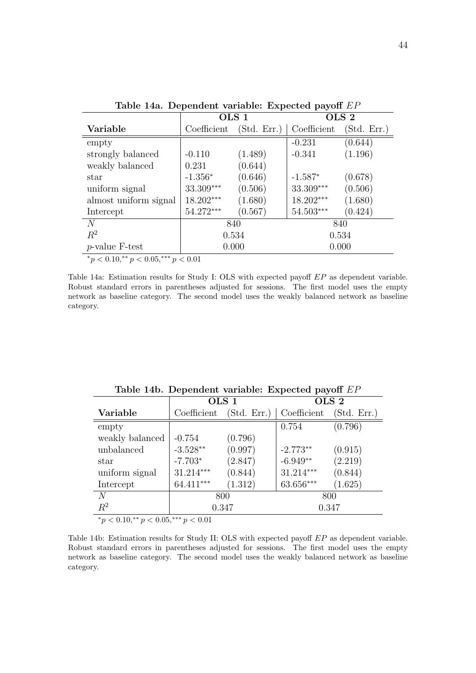|                                                                                             | OLS <sub>1</sub>            |             | OLS <sub>2</sub> |             |
|---------------------------------------------------------------------------------------------|-----------------------------|-------------|------------------|-------------|
| Variable                                                                                    | Coefficient                 | (Std. Err.) | Coefficient      | (Std. Err.) |
| empty                                                                                       |                             |             | $-0.231$         | (0.644)     |
| strongly balanced                                                                           | $-0.110$                    | (1.489)     | $-0.341$         | (1.196)     |
| weakly balanced                                                                             | 0.231                       | (0.644)     |                  |             |
| star                                                                                        | $-1.356*$                   | (0.646)     | $-1.587*$        | (0.678)     |
| uniform signal                                                                              | 33.309***                   | (0.506)     | 33.309***        | (0.506)     |
| almost uniform signal                                                                       | 18.202***                   | (1.680)     | 18.202***        | (1.680)     |
| Intercept                                                                                   | 54.272***                   | (0.567)     | 54.503***        | (0.424)     |
| N                                                                                           | 840                         |             | 840              |             |
| $R^2$                                                                                       | 0.534                       |             | 0.534            |             |
| $p$ -value F-test                                                                           | 0.000<br>0.000              |             |                  |             |
| $\omega$ . $\Omega$ and $\omega$ and $\omega$ . $\Omega$ $\Omega$ $\mathbf{F}$ and $\omega$ | $\sim$ $\sim$ $\sim$ $\sim$ |             |                  |             |

Table 14a. Dependent variable: Expected payoff EP

 ${}^*p$  < 0.10, ${}^*p$  < 0.05, ${}^*{}^*p$  < 0.01

Table 14a: Estimation results for Study I: OLS with expected payoff EP as dependent variable. Robust standard errors in parentheses adjusted for sessions. The first model uses the empty network as baseline category. The second model uses the weakly balanced network as baseline category.

|                                                       | OLS <sub>1</sub> |             | OLS <sub>2</sub> |             |  |
|-------------------------------------------------------|------------------|-------------|------------------|-------------|--|
| Variable                                              | Coefficient      | (Std. Err.) | Coefficient      | (Std. Err.) |  |
| empty                                                 |                  |             | 0.754            | (0.796)     |  |
| weakly balanced                                       | $-0.754$         | (0.796)     |                  |             |  |
| unbalanced                                            | $-3.528**$       | (0.997)     | $-2.773**$       | (0.915)     |  |
| star                                                  | $-7.703*$        | (2.847)     | $-6.949**$       | (2.219)     |  |
| uniform signal                                        | $31.214***$      | (0.844)     | $31.214***$      | (0.844)     |  |
| Intercept                                             | 64.411***        | (1.312)     | 63.656***        | (1.625)     |  |
| N                                                     | 800              |             | 800              |             |  |
| $R^2$                                                 | 0.347            |             | 0.347            |             |  |
| * $\approx 0.10$ ** $\approx 0.05$ *** $\approx 0.01$ |                  |             |                  |             |  |

Table 14b. Dependent variable: Expected payoff EP

 ${}^*p$  < 0.10, ${}^*p$  < 0.05, ${}^*{}^*p$  < 0.01

Table 14b: Estimation results for Study II: OLS with expected payoff EP as dependent variable. Robust standard errors in parentheses adjusted for sessions. The first model uses the empty network as baseline category. The second model uses the weakly balanced network as baseline category.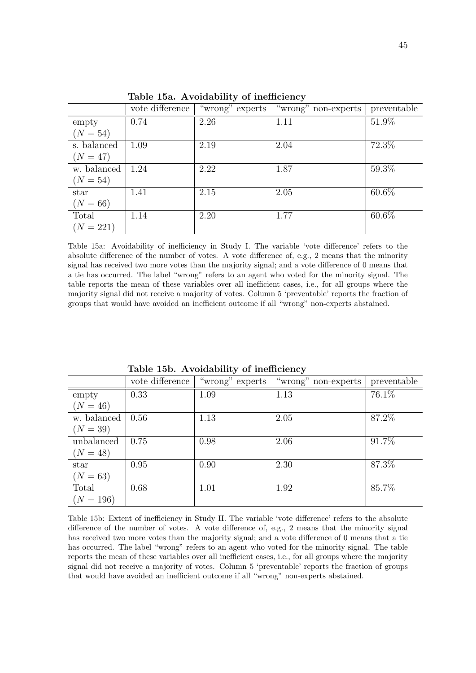|             | vote difference | "wrong" experts | "wrong" non-experts | preventable |
|-------------|-----------------|-----------------|---------------------|-------------|
| empty       | 0.74            | 2.26            | 1.11                | 51.9%       |
| $(N = 54)$  |                 |                 |                     |             |
| s. balanced | 1.09            | 2.19            | 2.04                | 72.3%       |
| $(N = 47)$  |                 |                 |                     |             |
| w. balanced | 1.24            | 2.22            | 1.87                | 59.3%       |
| $(N = 54)$  |                 |                 |                     |             |
| star        | 1.41            | 2.15            | 2.05                | 60.6%       |
| $(N = 66)$  |                 |                 |                     |             |
| Total       | 1.14            | 2.20            | 1.77                | 60.6%       |
| $(N = 221)$ |                 |                 |                     |             |

Table 15a. Avoidability of inefficiency

Table 15a: Avoidability of inefficiency in Study I. The variable 'vote difference' refers to the absolute difference of the number of votes. A vote difference of, e.g., 2 means that the minority signal has received two more votes than the majority signal; and a vote difference of 0 means that a tie has occurred. The label "wrong" refers to an agent who voted for the minority signal. The table reports the mean of these variables over all inefficient cases, i.e., for all groups where the majority signal did not receive a majority of votes. Column 5 'preventable' reports the fraction of groups that would have avoided an inefficient outcome if all "wrong" non-experts abstained.

|             | vote difference | "wrong" experts | "wrong" non-experts | preventable |
|-------------|-----------------|-----------------|---------------------|-------------|
| empty       | 0.33            | 1.09            | 1.13                | $76.1\%$    |
| $(N = 46)$  |                 |                 |                     |             |
| w. balanced | 0.56            | 1.13            | 2.05                | 87.2%       |
| $(N = 39)$  |                 |                 |                     |             |
| unbalanced  | 0.75            | 0.98            | 2.06                | 91.7%       |
| $(N = 48)$  |                 |                 |                     |             |
| star        | 0.95            | 0.90            | 2.30                | 87.3%       |
| $(N = 63)$  |                 |                 |                     |             |
| Total       | 0.68            | 1.01            | 1.92                | 85.7%       |
| $(N = 196)$ |                 |                 |                     |             |

Table 15b. Avoidability of inefficiency

Table 15b: Extent of inefficiency in Study II. The variable 'vote difference' refers to the absolute difference of the number of votes. A vote difference of, e.g., 2 means that the minority signal has received two more votes than the majority signal; and a vote difference of 0 means that a tie has occurred. The label "wrong" refers to an agent who voted for the minority signal. The table reports the mean of these variables over all inefficient cases, i.e., for all groups where the majority signal did not receive a majority of votes. Column 5 'preventable' reports the fraction of groups that would have avoided an inefficient outcome if all "wrong" non-experts abstained.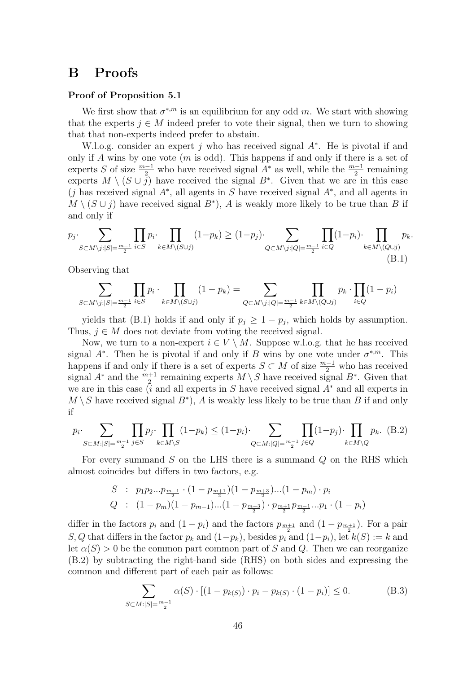# B Proofs

#### Proof of Proposition 5.1

We first show that  $\sigma^{*,m}$  is an equilibrium for any odd m. We start with showing that the experts  $j \in M$  indeed prefer to vote their signal, then we turn to showing that that non-experts indeed prefer to abstain.

W.l.o.g. consider an expert j who has received signal  $A^*$ . He is pivotal if and only if A wins by one vote  $(m \text{ is odd})$ . This happens if and only if there is a set of experts S of size  $\frac{m-1}{2}$  who have received signal  $A^*$  as well, while the  $\frac{m-1}{2}$  remaining experts  $M \setminus (S \cup \overline{j})$  have received the signal  $B^*$ . Given that we are in this case  $(j$  has received signal  $A^*$ , all agents in S have received signal  $A^*$ , and all agents in  $M \setminus (S \cup j)$  have received signal  $B^*$ ), A is weakly more likely to be true than B if and only if

$$
p_j \cdot \sum_{S \subset M \setminus j: |S| = \frac{m-1}{2}} \prod_{i \in S} p_i \cdot \prod_{k \in M \setminus (S \cup j)} (1 - p_k) \ge (1 - p_j) \cdot \sum_{Q \subset M \setminus j: |Q| = \frac{m-1}{2}} \prod_{i \in Q} (1 - p_i) \cdot \prod_{k \in M \setminus (Q \cup j)} p_k.
$$
\n(B.1)

Observing that

$$
\sum_{S \subset M \setminus j:|S|=\frac{m-1}{2}} \prod_{i \in S} p_i \cdot \prod_{k \in M \setminus (S \cup j)} (1-p_k) = \sum_{Q \subset M \setminus j:|Q|=\frac{m-1}{2}} \prod_{k \in M \setminus (Q \cup j)} p_k \cdot \prod_{i \in Q} (1-p_i)
$$

yields that (B.1) holds if and only if  $p_j \geq 1 - p_j$ , which holds by assumption. Thus,  $j \in M$  does not deviate from voting the received signal.

Now, we turn to a non-expert  $i \in V \setminus M$ . Suppose w.l.o.g. that he has received signal  $A^*$ . Then he is pivotal if and only if B wins by one vote under  $\sigma^{*,m}$ . This happens if and only if there is a set of experts  $S \subset M$  of size  $\frac{m-1}{2}$  who has received signal  $A^*$  and the  $\frac{m+1}{2}$  remaining experts  $M \setminus S$  have received signal  $B^*$ . Given that we are in this case (i and all experts in S have received signal  $A^*$  and all experts in  $M \setminus S$  have received signal  $B^*$ ), A is weakly less likely to be true than B if and only if

$$
p_i \cdot \sum_{S \subset M: |S| = \frac{m-1}{2}} \prod_{j \in S} p_j \cdot \prod_{k \in M \setminus S} (1 - p_k) \le (1 - p_i) \cdot \sum_{Q \subset M: |Q| = \frac{m-1}{2}} \prod_{j \in Q} (1 - p_j) \cdot \prod_{k \in M \setminus Q} p_k. \tag{B.2}
$$

For every summand  $S$  on the LHS there is a summand  $Q$  on the RHS which almost coincides but differs in two factors, e.g.

$$
S: p_1p_2...p_{\frac{m-1}{2}} \cdot (1-p_{\frac{m+1}{2}})(1-p_{\frac{m+3}{2}})...(1-p_m) \cdot p_i
$$
  
\n
$$
Q: (1-p_m)(1-p_{m-1})...(1-p_{\frac{m+3}{2}}) \cdot p_{\frac{m+1}{2}}p_{\frac{m-1}{2}}...p_1 \cdot (1-p_i)
$$

differ in the factors  $p_i$  and  $(1 - p_i)$  and the factors  $p_{\frac{m+1}{2}}$  and  $(1 - p_{\frac{m+1}{2}})$ . For a pair S, Q that differs in the factor  $p_k$  and  $(1-p_k)$ , besides  $p_i$  and  $(1-p_i)$ , let  $k(S) := k$  and let  $\alpha(S) > 0$  be the common part common part of S and Q. Then we can reorganize (B.2) by subtracting the right-hand side (RHS) on both sides and expressing the common and different part of each pair as follows:

$$
\sum_{S \subset M:|S|=\frac{m-1}{2}} \alpha(S) \cdot [(1 - p_{k(S)}) \cdot p_i - p_{k(S)} \cdot (1 - p_i)] \le 0.
$$
 (B.3)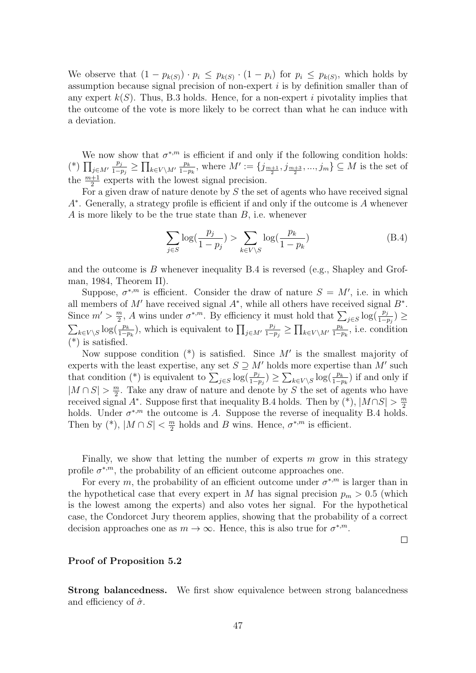We observe that  $(1 - p_{k(S)}) \cdot p_i \leq p_{k(S)} \cdot (1 - p_i)$  for  $p_i \leq p_{k(S)}$ , which holds by assumption because signal precision of non-expert  $i$  is by definition smaller than of any expert  $k(S)$ . Thus, B.3 holds. Hence, for a non-expert i pivotality implies that the outcome of the vote is more likely to be correct than what he can induce with a deviation.

We now show that  $\sigma^{*,m}$  is efficient if and only if the following condition holds: (\*)  $\prod_{j\in M'}$  $p_j$  $\frac{p_j}{1-p_j} \geq \prod_{k \in V \setminus M'} \frac{p_k}{1-p_k}$  $\frac{p_k}{1-p_k}$ , where  $M' := \{j_{\frac{m+1}{2}}, j_{\frac{m+3}{2}}, ..., j_m\} \subseteq M$  is the set of the  $\frac{m+1}{2}$  experts with the lowest signal precision.

For a given draw of nature denote by  $S$  the set of agents who have received signal A∗ . Generally, a strategy profile is efficient if and only if the outcome is A whenever A is more likely to be the true state than B, i.e. whenever

$$
\sum_{j\in S} \log\left(\frac{p_j}{1-p_j}\right) > \sum_{k\in V\setminus S} \log\left(\frac{p_k}{1-p_k}\right) \tag{B.4}
$$

and the outcome is  $B$  whenever inequality  $B.4$  is reversed (e.g., Shapley and Grofman, 1984, Theorem II).

Suppose,  $\sigma^{*,m}$  is efficient. Consider the draw of nature  $S = M'$ , i.e. in which all members of  $M'$  have received signal  $A^*$ , while all others have received signal  $B^*$ . Since  $m' > \frac{m}{2}$  $\frac{m}{2}$ , A wins under  $\sigma^{*,m}$ . By efficiency it must hold that  $\sum_{j\in S}\log(\frac{p_j}{1-p_j}) \ge$  $\sum_{k \in V \setminus S} \log(\frac{p_k}{1-p_k})$ , which is equivalent to  $\prod_{j \in M'}$  $p_j$  $\frac{p_j}{1-p_j}$  ≥  $\prod_{k\in V\setminus M'} \frac{p_k}{1-p_k}$  $\frac{p_k}{1-p_k}$ , i.e. condition  $(*)$  is satisfied.

Now suppose condition  $(*)$  is satisfied. Since M' is the smallest majority of experts with the least expertise, any set  $S \supseteq M'$  holds more expertise than M' such that condition (\*) is equivalent to  $\sum_{j\in S} \log(\frac{p_j}{1-p_j}) \ge \sum_{k\in V\setminus S} \log(\frac{p_k}{1-p_k})$  if and only if  $|M \cap S| > \frac{m}{2}$  $\frac{m}{2}$ . Take any draw of nature and denote by S the set of agents who have received signal A<sup>\*</sup>. Suppose first that inequality B.4 holds. Then by  $(*), |M \cap S| > \frac{m}{2}$ 2 holds. Under  $\sigma^{*,m}$  the outcome is A. Suppose the reverse of inequality B.4 holds. Then by  $(*), |M \cap S| < \frac{m}{2}$  $\frac{m}{2}$  holds and B wins. Hence,  $\sigma^{*,m}$  is efficient.

Finally, we show that letting the number of experts  $m$  grow in this strategy profile  $\sigma^{*,m}$ , the probability of an efficient outcome approaches one.

For every m, the probability of an efficient outcome under  $\sigma^{*,m}$  is larger than in the hypothetical case that every expert in M has signal precision  $p_m > 0.5$  (which is the lowest among the experts) and also votes her signal. For the hypothetical case, the Condorcet Jury theorem applies, showing that the probability of a correct decision approaches one as  $m \to \infty$ . Hence, this is also true for  $\sigma^{*,m}$ .

 $\Box$ 

#### Proof of Proposition 5.2

Strong balancedness. We first show equivalence between strong balancedness and efficiency of  $\hat{\sigma}$ .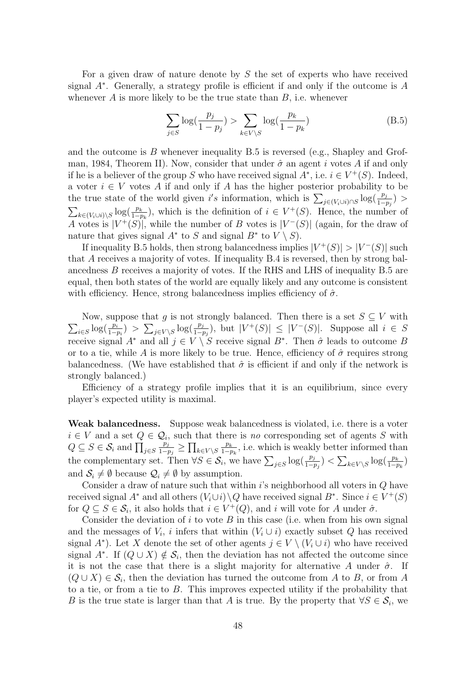For a given draw of nature denote by  $S$  the set of experts who have received signal A<sup>∗</sup> . Generally, a strategy profile is efficient if and only if the outcome is A whenever  $A$  is more likely to be the true state than  $B$ , i.e. whenever

$$
\sum_{j \in S} \log(\frac{p_j}{1 - p_j}) > \sum_{k \in V \setminus S} \log(\frac{p_k}{1 - p_k})
$$
(B.5)

and the outcome is  $B$  whenever inequality  $B.5$  is reversed (e.g., Shapley and Grofman, 1984, Theorem II). Now, consider that under  $\hat{\sigma}$  an agent i votes A if and only if he is a believer of the group S who have received signal  $A^*$ , i.e.  $i \in V^+(S)$ . Indeed, a voter  $i \in V$  votes A if and only if A has the higher posterior probability to be the true state of the world given i's information, which is  $\sum_{j \in (V_i \cup i) \cap S} \log(\frac{p_j}{1-p_j})$  $\sum_{k\in (V_i\cup i)\setminus S}\log(\frac{p_k}{1-p_k}),$  which is the definition of  $i\in V^+(S)$ . Hence, the number of A votes is  $|V^+(S)|$ , while the number of B votes is  $|V^-(S)|$  (again, for the draw of nature that gives signal  $A^*$  to S and signal  $B^*$  to  $V \setminus S$ .

If inequality B.5 holds, then strong balancedness implies  $|V^+(S)| > |V^-(S)|$  such that A receives a majority of votes. If inequality B.4 is reversed, then by strong balancedness B receives a majority of votes. If the RHS and LHS of inequality B.5 are equal, then both states of the world are equally likely and any outcome is consistent with efficiency. Hence, strong balancedness implies efficiency of  $\hat{\sigma}$ .

 $\sum_{i\in S}\log(\frac{p_i}{1-p_i})$  >  $\sum_{j\in V\setminus S}\log(\frac{p_j}{1-p_j})$ , but  $|V^+(S)| \leq |V^-(S)|$ . Suppose all  $i \in S$ Now, suppose that g is not strongly balanced. Then there is a set  $S \subseteq V$  with receive signal  $A^*$  and all  $j \in V \setminus S$  receive signal  $B^*$ . Then  $\hat{\sigma}$  leads to outcome B or to a tie, while A is more likely to be true. Hence, efficiency of  $\hat{\sigma}$  requires strong balancedness. (We have established that  $\hat{\sigma}$  is efficient if and only if the network is strongly balanced.)

Efficiency of a strategy profile implies that it is an equilibrium, since every player's expected utility is maximal.

Weak balancedness. Suppose weak balancedness is violated, i.e. there is a voter  $i \in V$  and a set  $Q \in \mathcal{Q}_i$ , such that there is no corresponding set of agents S with  $Q \subseteq S \in \mathcal{S}_i$  and  $\prod_{j \in S}$  $p_j$  $\frac{p_j}{1-p_j} \geq \prod_{k \in V \setminus S} \frac{p_k}{1-p_k}$  $\frac{p_k}{1-p_k}$ , i.e. which is weakly better informed than the complementary set. Then  $\forall S \in \mathcal{S}_i$ , we have  $\sum_{j \in S} \log(\frac{p_j}{1-p_j}) < \sum_{k \in V \setminus S} \log(\frac{p_k}{1-p_k})$ and  $S_i \neq \emptyset$  because  $\mathcal{Q}_i \neq \emptyset$  by assumption.

Consider a draw of nature such that within  $i$ 's neighborhood all voters in  $Q$  have received signal  $A^*$  and all others  $(V_i \cup i) \setminus Q$  have received signal  $B^*$ . Since  $i \in V^+(S)$ for  $Q \subseteq S \in \mathcal{S}_i$ , it also holds that  $i \in V^+(Q)$ , and i will vote for A under  $\hat{\sigma}$ .

Consider the deviation of  $i$  to vote  $B$  in this case (i.e. when from his own signal and the messages of  $V_i$ , i infers that within  $(V_i \cup i)$  exactly subset Q has received signal  $A^*$ ). Let X denote the set of other agents  $j \in V \setminus (V_i \cup i)$  who have received signal  $A^*$ . If  $(Q \cup X) \notin \mathcal{S}_i$ , then the deviation has not affected the outcome since it is not the case that there is a slight majority for alternative A under  $\hat{\sigma}$ . If  $(Q \cup X) \in \mathcal{S}_i$ , then the deviation has turned the outcome from A to B, or from A to a tie, or from a tie to B. This improves expected utility if the probability that B is the true state is larger than that A is true. By the property that  $\forall S \in \mathcal{S}_i$ , we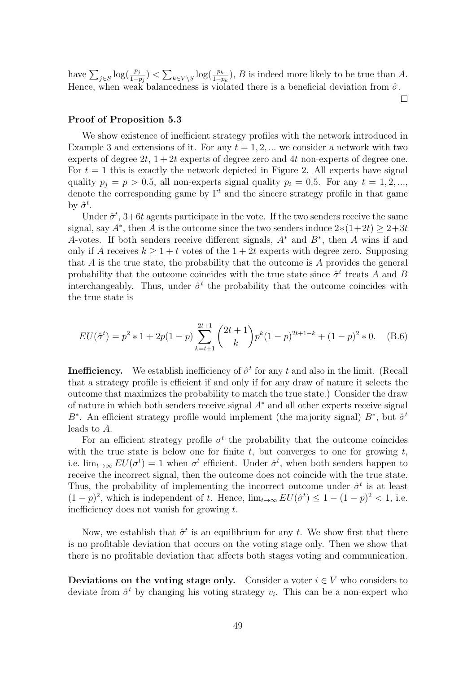have  $\sum_{j\in S} \log(\frac{p_j}{1-p_j}) < \sum_{k\in V\setminus S} \log(\frac{p_k}{1-p_k}), B$  is indeed more likely to be true than A. Hence, when weak balancedness is violated there is a beneficial deviation from  $\hat{\sigma}$ .

 $\Box$ 

#### Proof of Proposition 5.3

We show existence of inefficient strategy profiles with the network introduced in Example 3 and extensions of it. For any  $t = 1, 2, ...$  we consider a network with two experts of degree  $2t$ ,  $1+2t$  experts of degree zero and 4t non-experts of degree one. For  $t = 1$  this is exactly the network depicted in Figure 2. All experts have signal quality  $p_i = p > 0.5$ , all non-experts signal quality  $p_i = 0.5$ . For any  $t = 1, 2, ...,$ denote the corresponding game by  $\Gamma^t$  and the sincere strategy profile in that game by  $\hat{\sigma}^t$ .

Under  $\hat{\sigma}^t$ , 3+6t agents participate in the vote. If the two senders receive the same signal, say  $A^*$ , then A is the outcome since the two senders induce  $2*(1+2t) \geq 2+3t$ A-votes. If both senders receive different signals,  $A^*$  and  $B^*$ , then A wins if and only if A receives  $k \geq 1 + t$  votes of the  $1 + 2t$  experts with degree zero. Supposing that A is the true state, the probability that the outcome is A provides the general probability that the outcome coincides with the true state since  $\hat{\sigma}^t$  treats A and B interchangeably. Thus, under  $\hat{\sigma}^t$  the probability that the outcome coincides with the true state is

$$
EU(\hat{\sigma}^t) = p^2 \ast 1 + 2p(1-p) \sum_{k=t+1}^{2t+1} {2t+1 \choose k} p^k (1-p)^{2t+1-k} + (1-p)^2 \ast 0. \quad (B.6)
$$

**Inefficiency.** We establish inefficiency of  $\hat{\sigma}^t$  for any t and also in the limit. (Recall that a strategy profile is efficient if and only if for any draw of nature it selects the outcome that maximizes the probability to match the true state.) Consider the draw of nature in which both senders receive signal  $A^*$  and all other experts receive signal B<sup>∗</sup>. An efficient strategy profile would implement (the majority signal)  $B^*$ , but  $\hat{\sigma}^t$ leads to A.

For an efficient strategy profile  $\sigma^t$  the probability that the outcome coincides with the true state is below one for finite t, but converges to one for growing t, i.e.  $\lim_{t\to\infty} EU(\sigma^t) = 1$  when  $\sigma^t$  efficient. Under  $\hat{\sigma}^t$ , when both senders happen to receive the incorrect signal, then the outcome does not coincide with the true state. Thus, the probability of implementing the incorrect outcome under  $\hat{\sigma}^t$  is at least  $(1-p)^2$ , which is independent of t. Hence,  $\lim_{t\to\infty} EU(\hat{\sigma}^t) \leq 1-(1-p)^2 < 1$ , i.e. inefficiency does not vanish for growing  $t$ .

Now, we establish that  $\hat{\sigma}^t$  is an equilibrium for any t. We show first that there is no profitable deviation that occurs on the voting stage only. Then we show that there is no profitable deviation that affects both stages voting and communication.

Deviations on the voting stage only. Consider a voter  $i \in V$  who considers to deviate from  $\hat{\sigma}^t$  by changing his voting strategy  $v_i$ . This can be a non-expert who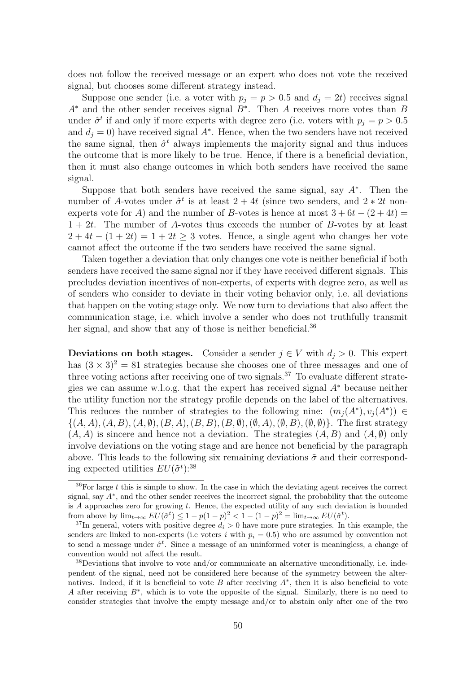does not follow the received message or an expert who does not vote the received signal, but chooses some different strategy instead.

Suppose one sender (i.e. a voter with  $p_j = p > 0.5$  and  $d_j = 2t$ ) receives signal  $A^*$  and the other sender receives signal  $B^*$ . Then A receives more votes than B under  $\hat{\sigma}^t$  if and only if more experts with degree zero (i.e. voters with  $p_j = p > 0.5$ and  $d_j = 0$ ) have received signal  $A^*$ . Hence, when the two senders have not received the same signal, then  $\hat{\sigma}^t$  always implements the majority signal and thus induces the outcome that is more likely to be true. Hence, if there is a beneficial deviation, then it must also change outcomes in which both senders have received the same signal.

Suppose that both senders have received the same signal, say  $A^*$ . Then the number of A-votes under  $\hat{\sigma}^t$  is at least  $2 + 4t$  (since two senders, and  $2 * 2t$  nonexperts vote for A) and the number of B-votes is hence at most  $3+6t-(2+4t)=$  $1 + 2t$ . The number of A-votes thus exceeds the number of B-votes by at least  $2 + 4t - (1 + 2t) = 1 + 2t > 3$  votes. Hence, a single agent who changes her vote cannot affect the outcome if the two senders have received the same signal.

Taken together a deviation that only changes one vote is neither beneficial if both senders have received the same signal nor if they have received different signals. This precludes deviation incentives of non-experts, of experts with degree zero, as well as of senders who consider to deviate in their voting behavior only, i.e. all deviations that happen on the voting stage only. We now turn to deviations that also affect the communication stage, i.e. which involve a sender who does not truthfully transmit her signal, and show that any of those is neither beneficial.<sup>36</sup>

Deviations on both stages. Consider a sender  $j \in V$  with  $d_j > 0$ . This expert has  $(3 \times 3)^2 = 81$  strategies because she chooses one of three messages and one of three voting actions after receiving one of two signals.<sup>37</sup> To evaluate different strategies we can assume w.l.o.g. that the expert has received signal A<sup>∗</sup> because neither the utility function nor the strategy profile depends on the label of the alternatives. This reduces the number of strategies to the following nine:  $(m_j(A^*), v_j(A^*)) \in$  $\{(A, A), (A, B), (A, \emptyset), (B, A), (B, B), (B, \emptyset), (\emptyset, A), (\emptyset, B), (\emptyset, \emptyset)\}.$  The first strategy  $(A, A)$  is sincere and hence not a deviation. The strategies  $(A, B)$  and  $(A, \emptyset)$  only involve deviations on the voting stage and are hence not beneficial by the paragraph above. This leads to the following six remaining deviations  $\tilde{\sigma}$  and their corresponding expected utilities  $EU(\tilde{\sigma}^t)$ :<sup>38</sup>

 $36$ For large t this is simple to show. In the case in which the deviating agent receives the correct signal, say  $A^*$ , and the other sender receives the incorrect signal, the probability that the outcome is  $A$  approaches zero for growing  $t$ . Hence, the expected utility of any such deviation is bounded from above by  $\lim_{t\to\infty} EU(\tilde{\sigma}^t) \leq 1 - p(1-p)^2 < 1 - (1-p)^2 = \lim_{t\to\infty} EU(\hat{\sigma}^t)$ .

<sup>&</sup>lt;sup>37</sup>In general, voters with positive degree  $d_i > 0$  have more pure strategies. In this example, the senders are linked to non-experts (i.e voters i with  $p_i = 0.5$ ) who are assumed by convention not to send a message under  $\hat{\sigma}^t$ . Since a message of an uninformed voter is meaningless, a change of convention would not affect the result.

<sup>38</sup>Deviations that involve to vote and/or communicate an alternative unconditionally, i.e. independent of the signal, need not be considered here because of the symmetry between the alternatives. Indeed, if it is beneficial to vote  $B$  after receiving  $A^*$ , then it is also beneficial to vote A after receiving B<sup>∗</sup> , which is to vote the opposite of the signal. Similarly, there is no need to consider strategies that involve the empty message and/or to abstain only after one of the two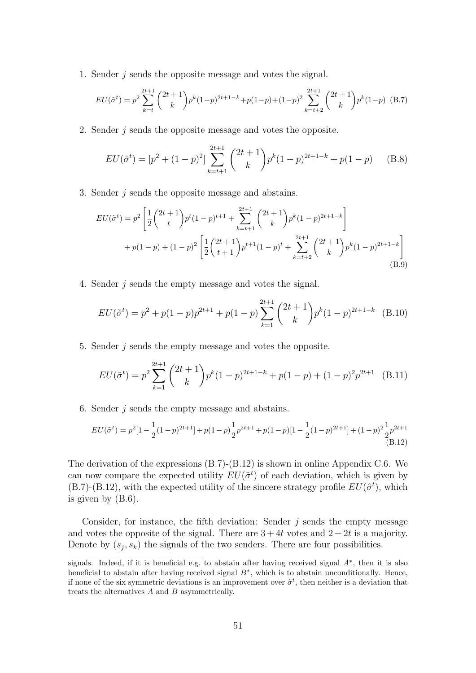1. Sender j sends the opposite message and votes the signal.

$$
EU(\tilde{\sigma}^t) = p^2 \sum_{k=t}^{2t+1} {2t+1 \choose k} p^k (1-p)^{2t+1-k} + p(1-p) + (1-p)^2 \sum_{k=t+2}^{2t+1} {2t+1 \choose k} p^k (1-p)
$$
 (B.7)

2. Sender j sends the opposite message and votes the opposite.

$$
EU(\tilde{\sigma}^t) = [p^2 + (1-p)^2] \sum_{k=t+1}^{2t+1} {2t+1 \choose k} p^k (1-p)^{2t+1-k} + p(1-p) \quad (B.8)
$$

3. Sender j sends the opposite message and abstains.

$$
EU(\tilde{\sigma}^t) = p^2 \left[ \frac{1}{2} \binom{2t+1}{t} p^t (1-p)^{t+1} + \sum_{k=t+1}^{2t+1} \binom{2t+1}{k} p^k (1-p)^{2t+1-k} \right] + p(1-p) + (1-p)^2 \left[ \frac{1}{2} \binom{2t+1}{t+1} p^{t+1} (1-p)^t + \sum_{k=t+2}^{2t+1} \binom{2t+1}{k} p^k (1-p)^{2t+1-k} \right] (B.9)
$$

4. Sender j sends the empty message and votes the signal.

$$
EU(\tilde{\sigma}^t) = p^2 + p(1-p)p^{2t+1} + p(1-p)\sum_{k=1}^{2t+1} {2t+1 \choose k} p^k (1-p)^{2t+1-k}
$$
 (B.10)

5. Sender j sends the empty message and votes the opposite.

$$
EU(\tilde{\sigma}^t) = p^2 \sum_{k=1}^{2t+1} {2t+1 \choose k} p^k (1-p)^{2t+1-k} + p(1-p) + (1-p)^2 p^{2t+1}
$$
 (B.11)

6. Sender j sends the empty message and abstains.

$$
EU(\tilde{\sigma}^t) = p^2[1 - \frac{1}{2}(1-p)^{2t+1}] + p(1-p)\frac{1}{2}p^{2t+1} + p(1-p)[1 - \frac{1}{2}(1-p)^{2t+1}] + (1-p)^2\frac{1}{2}p^{2t+1}
$$
\n(B.12)

The derivation of the expressions (B.7)-(B.12) is shown in online Appendix C.6. We can now compare the expected utility  $EU(\tilde{\sigma}^t)$  of each deviation, which is given by  $(B.7)$ - $(B.12)$ , with the expected utility of the sincere strategy profile  $EU(\hat{\sigma}^t)$ , which is given by (B.6).

Consider, for instance, the fifth deviation: Sender  $j$  sends the empty message and votes the opposite of the signal. There are  $3+4t$  votes and  $2+2t$  is a majority. Denote by  $(s_j, s_k)$  the signals of the two senders. There are four possibilities.

signals. Indeed, if it is beneficial e.g. to abstain after having received signal  $A^*$ , then it is also beneficial to abstain after having received signal  $B^*$ , which is to abstain unconditionally. Hence, if none of the six symmetric deviations is an improvement over  $\hat{\sigma}^t$ , then neither is a deviation that treats the alternatives A and B asymmetrically.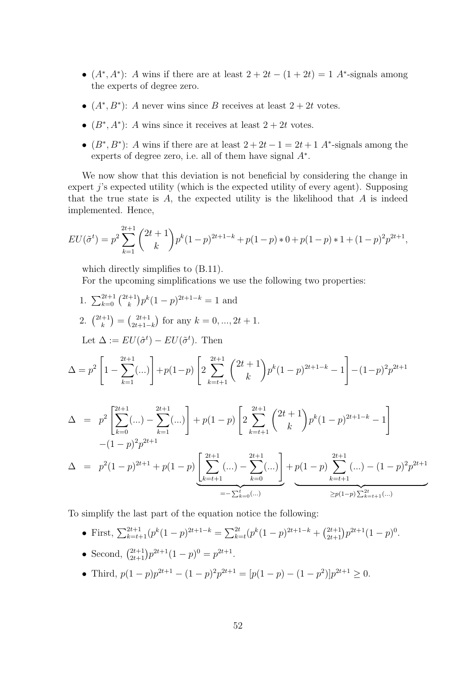- $(A^*, A^*)$ : A wins if there are at least  $2 + 2t (1 + 2t) = 1$  A<sup>\*</sup>-signals among the experts of degree zero.
- $(A^*, B^*)$ : A never wins since B receives at least  $2 + 2t$  votes.
- $(B^*, A^*)$ : A wins since it receives at least  $2 + 2t$  votes.
- $(B^*, B^*)$ : A wins if there are at least  $2+2t-1=2t+1$  A<sup>\*</sup>-signals among the experts of degree zero, i.e. all of them have signal  $A^*$ .

We now show that this deviation is not beneficial by considering the change in expert j's expected utility (which is the expected utility of every agent). Supposing that the true state is  $A$ , the expected utility is the likelihood that  $A$  is indeed implemented. Hence,

$$
EU(\tilde{\sigma}^t) = p^2 \sum_{k=1}^{2t+1} {2t+1 \choose k} p^k (1-p)^{2t+1-k} + p(1-p) * 0 + p(1-p) * 1 + (1-p)^2 p^{2t+1},
$$

which directly simplifies to  $(B.11)$ .

For the upcoming simplifications we use the following two properties:

1. 
$$
\sum_{k=0}^{2t+1} {2t+1 \choose k} p^{k} (1-p)^{2t+1-k} = 1 \text{ and}
$$
  
\n2. 
$$
{2t+1 \choose k} = {2t+1 \choose 2t+1-k} \text{ for any } k = 0, ..., 2t+1.
$$
  
\nLet 
$$
\Delta := EU(\hat{\sigma}^{t}) - EU(\tilde{\sigma}^{t}). \text{ Then}
$$
  
\n
$$
\Delta = p^{2} \left[ 1 - \sum_{k=1}^{2t+1} (...) \right] + p(1-p) \left[ 2 \sum_{k=t+1}^{2t+1} {2t+1 \choose k} p^{k} (1-p)^{2t+1-k} - 1 \right] - (1-p)^{2} p^{2t+1}
$$
  
\n
$$
\Delta = p^{2} \left[ \sum_{k=0}^{2t+1} (...) \right] + p(1-p) \left[ 2 \sum_{k=t+1}^{2t+1} {2t+1 \choose k} p^{k} (1-p)^{2t+1-k} - 1 \right]
$$
  
\n
$$
- (1-p)^{2} p^{2t+1}
$$
  
\n
$$
\Delta = p^{2} (1-p)^{2t+1} + p(1-p) \left[ \sum_{k=t+1}^{2t+1} (...) \right] + p(1-p) \sum_{k=0}^{2t+1} (...) \left[ \sum_{k=t+1}^{2t+1} (\dots) - \sum_{k=0}^{2t+1} (\dots) - (1-p)^{2} p^{2t+1} \right]
$$
  
\n
$$
= - \sum_{k=0}^{t} ... \sum_{k=t+1}^{2t+1} \frac{2t+1}{2t+1} (\dots)
$$

To simplify the last part of the equation notice the following:

- First,  $\sum_{k=t+1}^{2t+1} (p^k(1-p)^{2t+1-k} = \sum_{k=t}^{2t} (p^k(1-p)^{2t+1-k} + \binom{2t+1}{2t+1} p^{2t+1}(1-p)^0$ .
- Second,  $\binom{2t+1}{2t+1} p^{2t+1} (1-p)^0 = p^{2t+1}$ .
- Third,  $p(1-p)p^{2t+1} (1-p)^2p^{2t+1} = [p(1-p) (1-p^2)]p^{2t+1} \ge 0.$